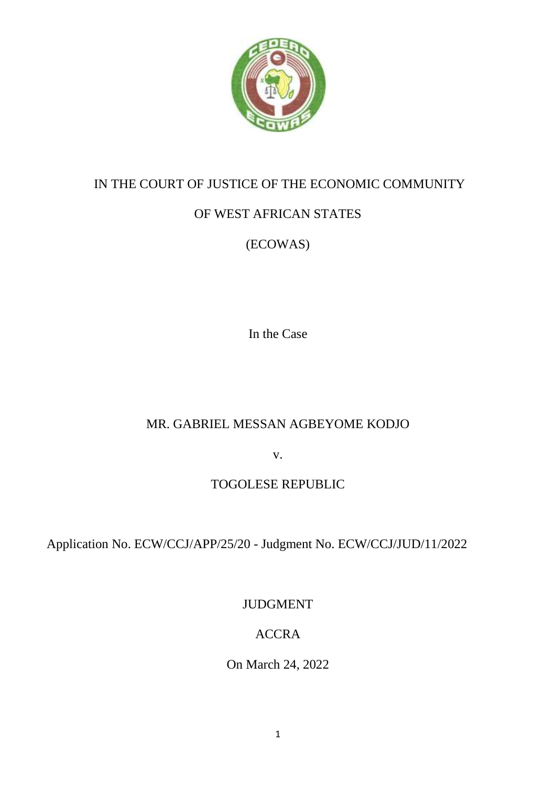

### IN THE COURT OF JUSTICE OF THE ECONOMIC COMMUNITY

# OF WEST AFRICAN STATES

# (ECOWAS)

In the Case

# MR. GABRIEL MESSAN AGBEYOME KODJO

v.

## TOGOLESE REPUBLIC

Application No. ECW/CCJ/APP/25/20 - Judgment No. ECW/CCJ/JUD/11/2022

JUDGMENT

# ACCRA

On March 24, 2022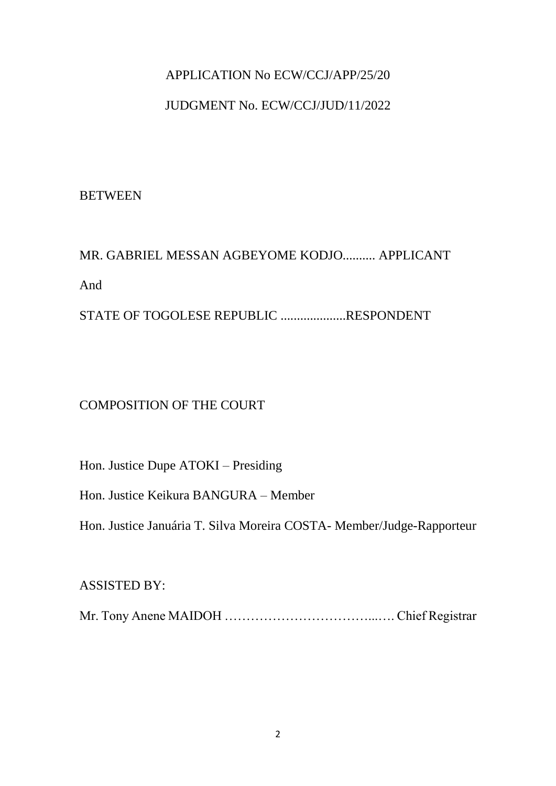#### APPLICATION No ECW/CCJ/APP/25/20

#### JUDGMENT No. ECW/CCJ/JUD/11/2022

#### **BETWEEN**

# MR. GABRIEL MESSAN AGBEYOME KODJO.......... APPLICANT And STATE OF TOGOLESE REPUBLIC ....................RESPONDENT

#### COMPOSITION OF THE COURT

Hon. Justice Dupe ATOKI – Presiding

Hon. Justice Keikura BANGURA – Member

Hon. Justice Januária T. Silva Moreira COSTA- Member/Judge-Rapporteur

#### ASSISTED BY:

Mr. Tony Anene MAIDOH ……………………………...…. Chief Registrar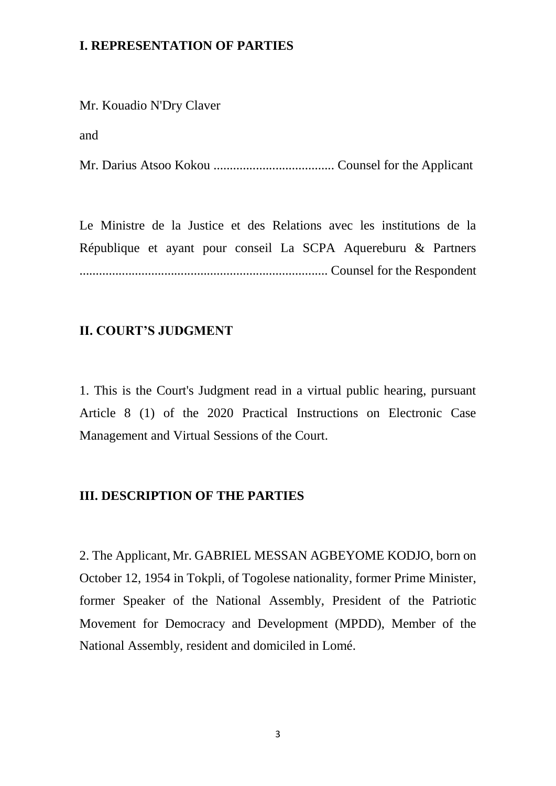#### **I. REPRESENTATION OF PARTIES**

Mr. Kouadio N'Dry Claver

and

Mr. Darius Atsoo Kokou ..................................... Counsel for the Applicant

Le Ministre de la Justice et des Relations avec les institutions de la République et ayant pour conseil La SCPA Aquereburu & Partners ............................................................................ Counsel for the Respondent

#### **II. COURT'S JUDGMENT**

1. This is the Court's Judgment read in a virtual public hearing, pursuant Article 8 (1) of the 2020 Practical Instructions on Electronic Case Management and Virtual Sessions of the Court.

#### **III. DESCRIPTION OF THE PARTIES**

2. The Applicant, Mr. GABRIEL MESSAN AGBEYOME KODJO, born on October 12, 1954 in Tokpli, of Togolese nationality, former Prime Minister, former Speaker of the National Assembly, President of the Patriotic Movement for Democracy and Development (MPDD), Member of the National Assembly, resident and domiciled in Lomé.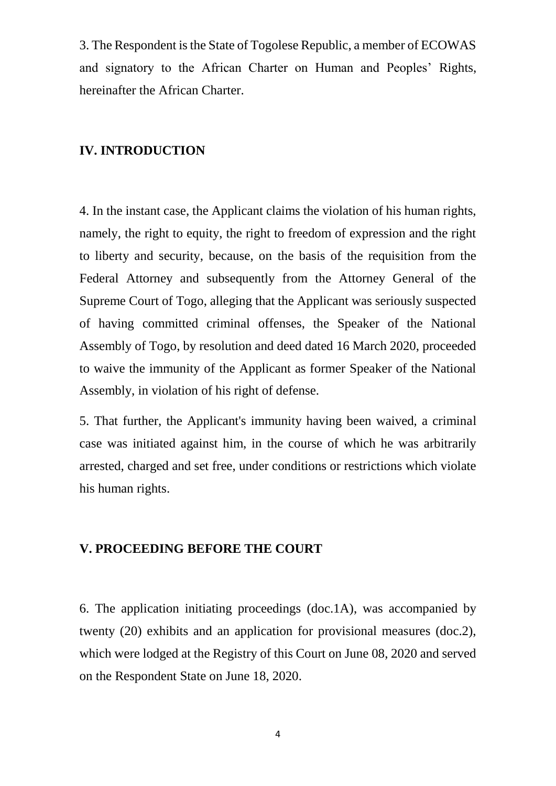3. The Respondent is the State of Togolese Republic, a member of ECOWAS and signatory to the African Charter on Human and Peoples' Rights, hereinafter the African Charter.

#### **IV. INTRODUCTION**

4. In the instant case, the Applicant claims the violation of his human rights, namely, the right to equity, the right to freedom of expression and the right to liberty and security, because, on the basis of the requisition from the Federal Attorney and subsequently from the Attorney General of the Supreme Court of Togo, alleging that the Applicant was seriously suspected of having committed criminal offenses, the Speaker of the National Assembly of Togo, by resolution and deed dated 16 March 2020, proceeded to waive the immunity of the Applicant as former Speaker of the National Assembly, in violation of his right of defense.

5. That further, the Applicant's immunity having been waived, a criminal case was initiated against him, in the course of which he was arbitrarily arrested, charged and set free, under conditions or restrictions which violate his human rights.

#### **V. PROCEEDING BEFORE THE COURT**

6. The application initiating proceedings (doc.1A), was accompanied by twenty (20) exhibits and an application for provisional measures (doc.2), which were lodged at the Registry of this Court on June 08, 2020 and served on the Respondent State on June 18, 2020.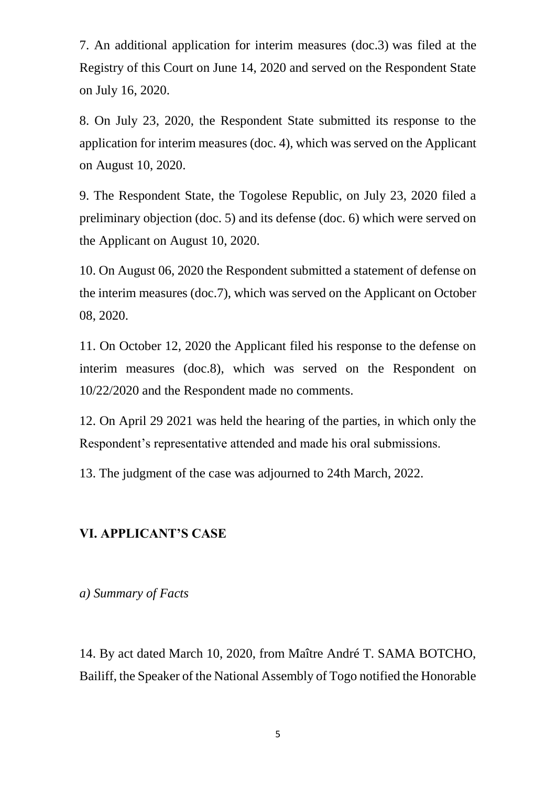7. An additional application for interim measures (doc.3) was filed at the Registry of this Court on June 14, 2020 and served on the Respondent State on July 16, 2020.

8. On July 23, 2020, the Respondent State submitted its response to the application for interim measures (doc. 4), which was served on the Applicant on August 10, 2020.

9. The Respondent State, the Togolese Republic, on July 23, 2020 filed a preliminary objection (doc. 5) and its defense (doc. 6) which were served on the Applicant on August 10, 2020.

10. On August 06, 2020 the Respondent submitted a statement of defense on the interim measures (doc.7), which was served on the Applicant on October 08, 2020.

11. On October 12, 2020 the Applicant filed his response to the defense on interim measures (doc.8), which was served on the Respondent on 10/22/2020 and the Respondent made no comments.

12. On April 29 2021 was held the hearing of the parties, in which only the Respondent's representative attended and made his oral submissions.

13. The judgment of the case was adjourned to 24th March, 2022.

#### **VI. APPLICANT'S CASE**

*a) Summary of Facts*

14. By act dated March 10, 2020, from Maître André T. SAMA BOTCHO, Bailiff, the Speaker of the National Assembly of Togo notified the Honorable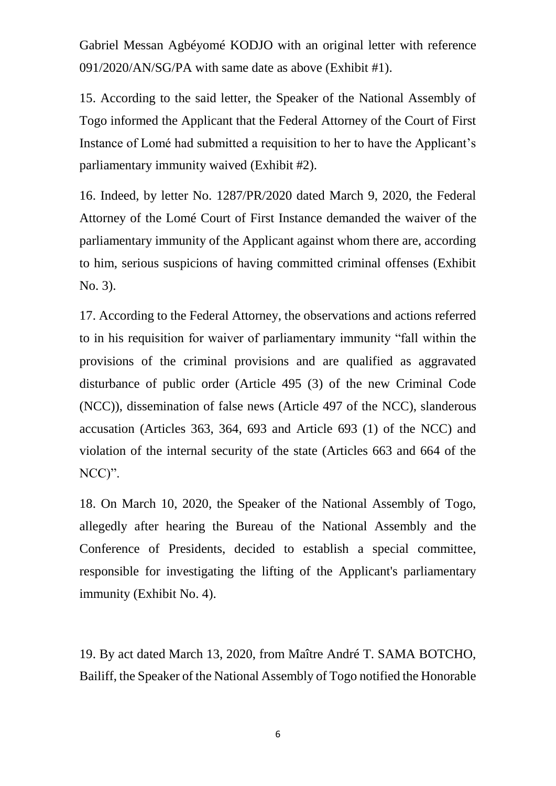Gabriel Messan Agbéyomé KODJO with an original letter with reference 091/2020/AN/SG/PA with same date as above (Exhibit #1).

15. According to the said letter, the Speaker of the National Assembly of Togo informed the Applicant that the Federal Attorney of the Court of First Instance of Lomé had submitted a requisition to her to have the Applicant's parliamentary immunity waived (Exhibit #2).

16. Indeed, by letter No. 1287/PR/2020 dated March 9, 2020, the Federal Attorney of the Lomé Court of First Instance demanded the waiver of the parliamentary immunity of the Applicant against whom there are, according to him, serious suspicions of having committed criminal offenses (Exhibit No. 3).

17. According to the Federal Attorney, the observations and actions referred to in his requisition for waiver of parliamentary immunity "fall within the provisions of the criminal provisions and are qualified as aggravated disturbance of public order (Article 495 (3) of the new Criminal Code (NCC)), dissemination of false news (Article 497 of the NCC), slanderous accusation (Articles 363, 364, 693 and Article 693 (1) of the NCC) and violation of the internal security of the state (Articles 663 and 664 of the NCC)".

18. On March 10, 2020, the Speaker of the National Assembly of Togo, allegedly after hearing the Bureau of the National Assembly and the Conference of Presidents, decided to establish a special committee, responsible for investigating the lifting of the Applicant's parliamentary immunity (Exhibit No. 4).

19. By act dated March 13, 2020, from Maître André T. SAMA BOTCHO, Bailiff, the Speaker of the National Assembly of Togo notified the Honorable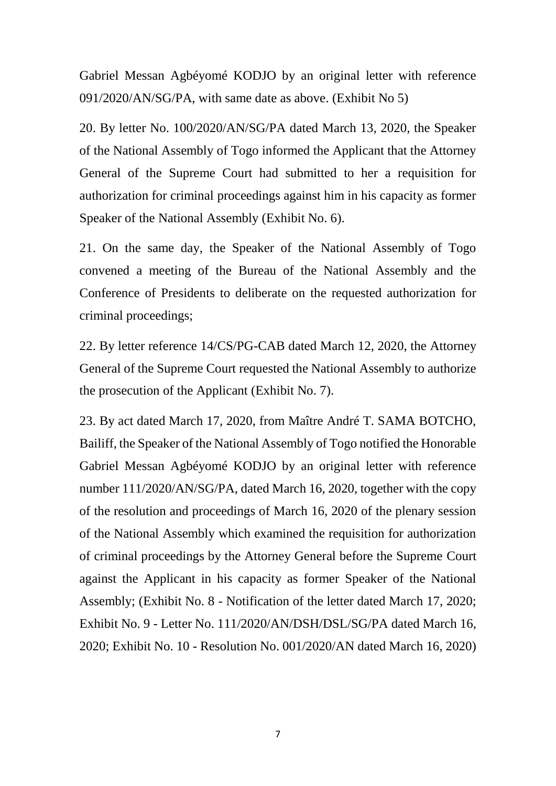Gabriel Messan Agbéyomé KODJO by an original letter with reference 091/2020/AN/SG/PA, with same date as above. (Exhibit No 5)

20. By letter No. 100/2020/AN/SG/PA dated March 13, 2020, the Speaker of the National Assembly of Togo informed the Applicant that the Attorney General of the Supreme Court had submitted to her a requisition for authorization for criminal proceedings against him in his capacity as former Speaker of the National Assembly (Exhibit No. 6).

21. On the same day, the Speaker of the National Assembly of Togo convened a meeting of the Bureau of the National Assembly and the Conference of Presidents to deliberate on the requested authorization for criminal proceedings;

22. By letter reference 14/CS/PG-CAB dated March 12, 2020, the Attorney General of the Supreme Court requested the National Assembly to authorize the prosecution of the Applicant (Exhibit No. 7).

23. By act dated March 17, 2020, from Maître André T. SAMA BOTCHO, Bailiff, the Speaker of the National Assembly of Togo notified the Honorable Gabriel Messan Agbéyomé KODJO by an original letter with reference number 111/2020/AN/SG/PA, dated March 16, 2020, together with the copy of the resolution and proceedings of March 16, 2020 of the plenary session of the National Assembly which examined the requisition for authorization of criminal proceedings by the Attorney General before the Supreme Court against the Applicant in his capacity as former Speaker of the National Assembly; (Exhibit No. 8 - Notification of the letter dated March 17, 2020; Exhibit No. 9 - Letter No. 111/2020/AN/DSH/DSL/SG/PA dated March 16, 2020; Exhibit No. 10 - Resolution No. 001/2020/AN dated March 16, 2020)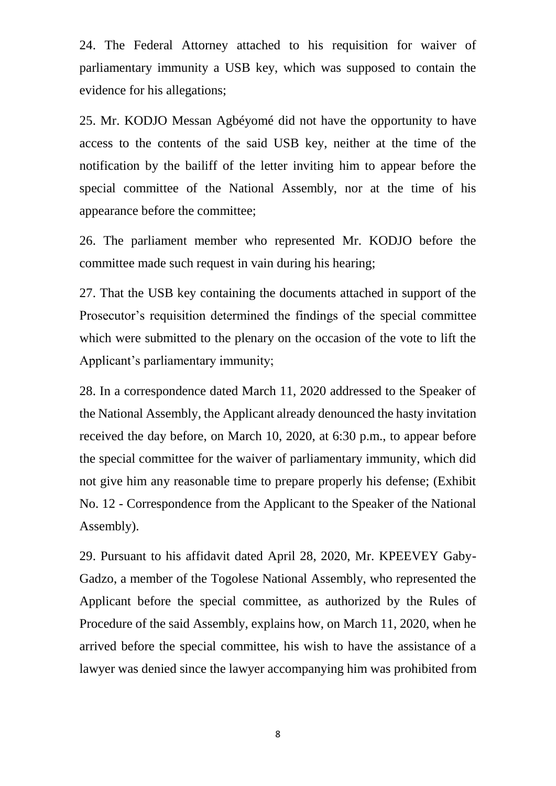24. The Federal Attorney attached to his requisition for waiver of parliamentary immunity a USB key, which was supposed to contain the evidence for his allegations;

25. Mr. KODJO Messan Agbéyomé did not have the opportunity to have access to the contents of the said USB key, neither at the time of the notification by the bailiff of the letter inviting him to appear before the special committee of the National Assembly, nor at the time of his appearance before the committee;

26. The parliament member who represented Mr. KODJO before the committee made such request in vain during his hearing;

27. That the USB key containing the documents attached in support of the Prosecutor's requisition determined the findings of the special committee which were submitted to the plenary on the occasion of the vote to lift the Applicant's parliamentary immunity;

28. In a correspondence dated March 11, 2020 addressed to the Speaker of the National Assembly, the Applicant already denounced the hasty invitation received the day before, on March 10, 2020, at 6:30 p.m., to appear before the special committee for the waiver of parliamentary immunity, which did not give him any reasonable time to prepare properly his defense; (Exhibit No. 12 - Correspondence from the Applicant to the Speaker of the National Assembly).

29. Pursuant to his affidavit dated April 28, 2020, Mr. KPEEVEY Gaby-Gadzo, a member of the Togolese National Assembly, who represented the Applicant before the special committee, as authorized by the Rules of Procedure of the said Assembly, explains how, on March 11, 2020, when he arrived before the special committee, his wish to have the assistance of a lawyer was denied since the lawyer accompanying him was prohibited from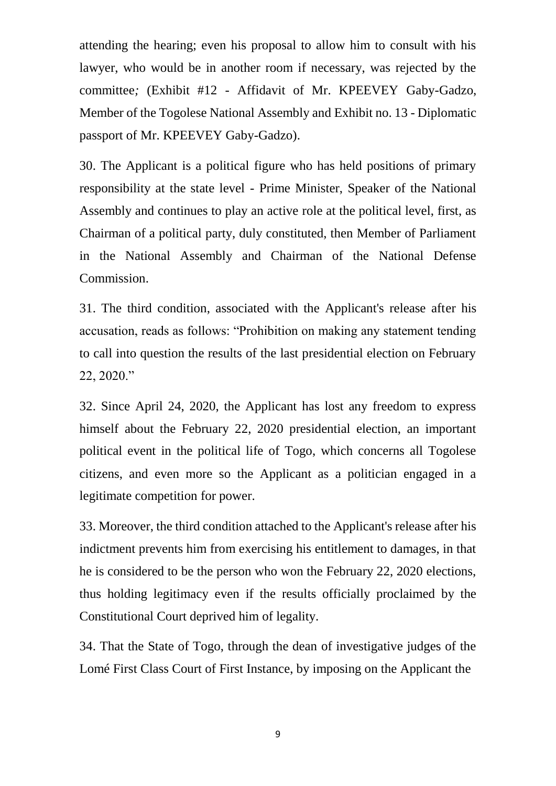attending the hearing; even his proposal to allow him to consult with his lawyer, who would be in another room if necessary, was rejected by the committee*;* (Exhibit #12 - Affidavit of Mr. KPEEVEY Gaby-Gadzo, Member of the Togolese National Assembly and Exhibit no. 13 - Diplomatic passport of Mr. KPEEVEY Gaby-Gadzo).

30. The Applicant is a political figure who has held positions of primary responsibility at the state level - Prime Minister, Speaker of the National Assembly and continues to play an active role at the political level, first, as Chairman of a political party, duly constituted, then Member of Parliament in the National Assembly and Chairman of the National Defense Commission.

31. The third condition, associated with the Applicant's release after his accusation, reads as follows: "Prohibition on making any statement tending to call into question the results of the last presidential election on February 22, 2020."

32. Since April 24, 2020, the Applicant has lost any freedom to express himself about the February 22, 2020 presidential election, an important political event in the political life of Togo, which concerns all Togolese citizens, and even more so the Applicant as a politician engaged in a legitimate competition for power.

33. Moreover, the third condition attached to the Applicant's release after his indictment prevents him from exercising his entitlement to damages, in that he is considered to be the person who won the February 22, 2020 elections, thus holding legitimacy even if the results officially proclaimed by the Constitutional Court deprived him of legality.

34. That the State of Togo, through the dean of investigative judges of the Lomé First Class Court of First Instance, by imposing on the Applicant the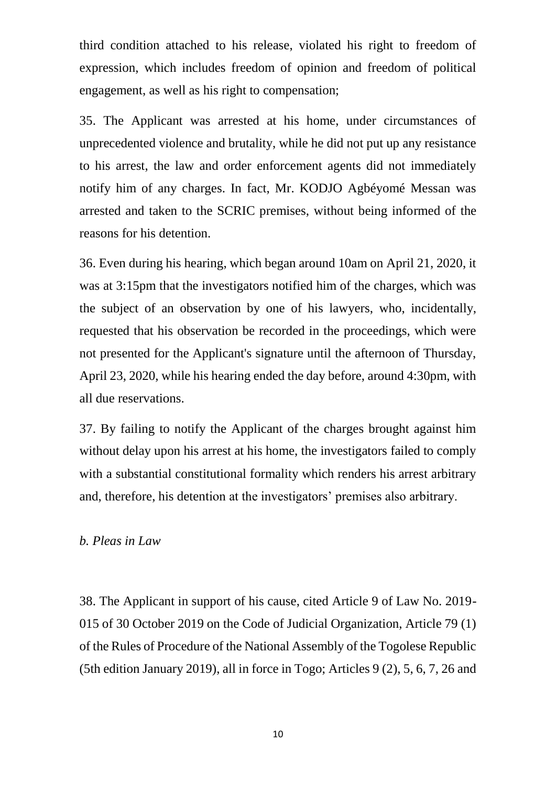third condition attached to his release, violated his right to freedom of expression, which includes freedom of opinion and freedom of political engagement, as well as his right to compensation;

35. The Applicant was arrested at his home, under circumstances of unprecedented violence and brutality, while he did not put up any resistance to his arrest, the law and order enforcement agents did not immediately notify him of any charges. In fact, Mr. KODJO Agbéyomé Messan was arrested and taken to the SCRIC premises, without being informed of the reasons for his detention.

36. Even during his hearing, which began around 10am on April 21, 2020, it was at 3:15pm that the investigators notified him of the charges, which was the subject of an observation by one of his lawyers, who, incidentally, requested that his observation be recorded in the proceedings, which were not presented for the Applicant's signature until the afternoon of Thursday, April 23, 2020, while his hearing ended the day before, around 4:30pm, with all due reservations.

37. By failing to notify the Applicant of the charges brought against him without delay upon his arrest at his home, the investigators failed to comply with a substantial constitutional formality which renders his arrest arbitrary and, therefore, his detention at the investigators' premises also arbitrary.

#### *b. Pleas in Law*

38. The Applicant in support of his cause, cited Article 9 of Law No. 2019- 015 of 30 October 2019 on the Code of Judicial Organization, Article 79 (1) of the Rules of Procedure of the National Assembly of the Togolese Republic (5th edition January 2019), all in force in Togo; Articles 9 (2), 5, 6, 7, 26 and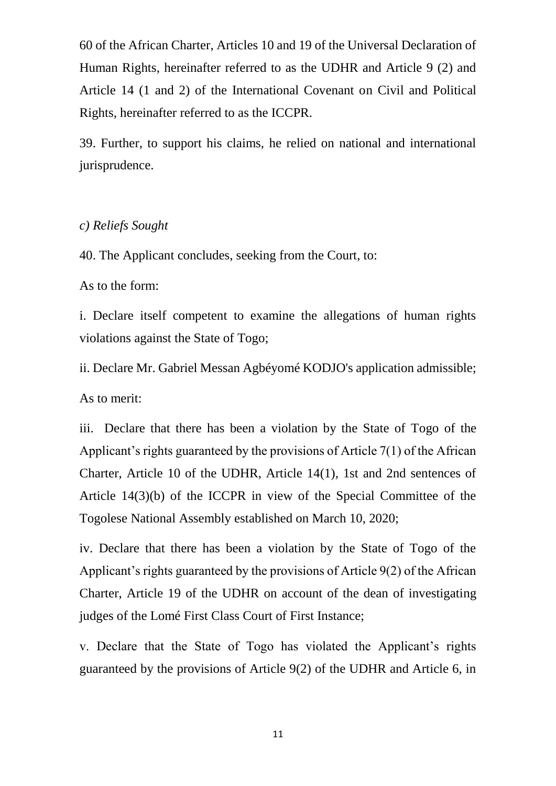60 of the African Charter, Articles 10 and 19 of the Universal Declaration of Human Rights, hereinafter referred to as the UDHR and Article 9 (2) and Article 14 (1 and 2) of the International Covenant on Civil and Political Rights, hereinafter referred to as the ICCPR.

39. Further, to support his claims, he relied on national and international jurisprudence.

#### *c) Reliefs Sought*

40. The Applicant concludes, seeking from the Court, to:

As to the form:

i. Declare itself competent to examine the allegations of human rights violations against the State of Togo;

ii. Declare Mr. Gabriel Messan Agbéyomé KODJO's application admissible; As to merit:

iii. Declare that there has been a violation by the State of Togo of the Applicant's rights guaranteed by the provisions of Article 7(1) of the African Charter, Article 10 of the UDHR, Article 14(1), 1st and 2nd sentences of Article 14(3)(b) of the ICCPR in view of the Special Committee of the Togolese National Assembly established on March 10, 2020;

iv. Declare that there has been a violation by the State of Togo of the Applicant's rights guaranteed by the provisions of Article 9(2) of the African Charter, Article 19 of the UDHR on account of the dean of investigating judges of the Lomé First Class Court of First Instance;

v. Declare that the State of Togo has violated the Applicant's rights guaranteed by the provisions of Article 9(2) of the UDHR and Article 6, in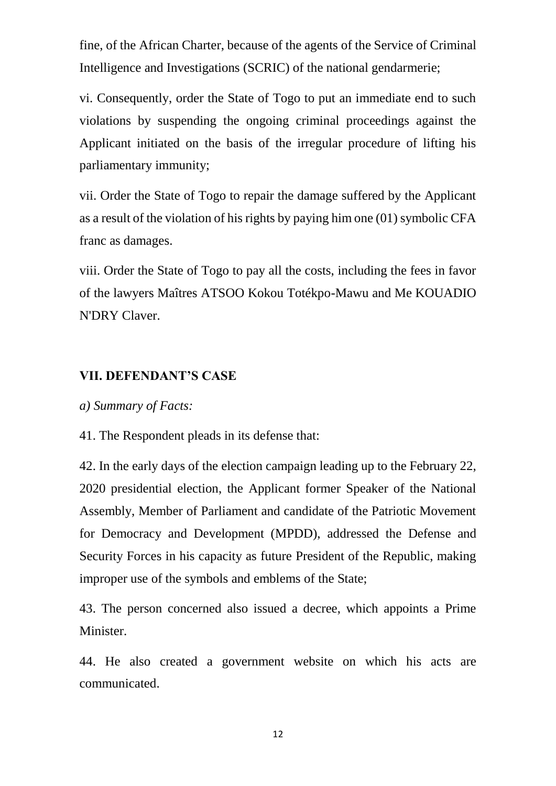fine, of the African Charter, because of the agents of the Service of Criminal Intelligence and Investigations (SCRIC) of the national gendarmerie;

vi. Consequently, order the State of Togo to put an immediate end to such violations by suspending the ongoing criminal proceedings against the Applicant initiated on the basis of the irregular procedure of lifting his parliamentary immunity;

vii. Order the State of Togo to repair the damage suffered by the Applicant as a result of the violation of his rights by paying him one (01) symbolic CFA franc as damages.

viii. Order the State of Togo to pay all the costs, including the fees in favor of the lawyers Maîtres ATSOO Kokou Totékpo-Mawu and Me KOUADIO N'DRY Claver.

#### **VII. DEFENDANT'S CASE**

#### *a) Summary of Facts:*

41. The Respondent pleads in its defense that:

42. In the early days of the election campaign leading up to the February 22, 2020 presidential election, the Applicant former Speaker of the National Assembly, Member of Parliament and candidate of the Patriotic Movement for Democracy and Development (MPDD), addressed the Defense and Security Forces in his capacity as future President of the Republic, making improper use of the symbols and emblems of the State;

43. The person concerned also issued a decree, which appoints a Prime Minister.

44. He also created a government website on which his acts are communicated.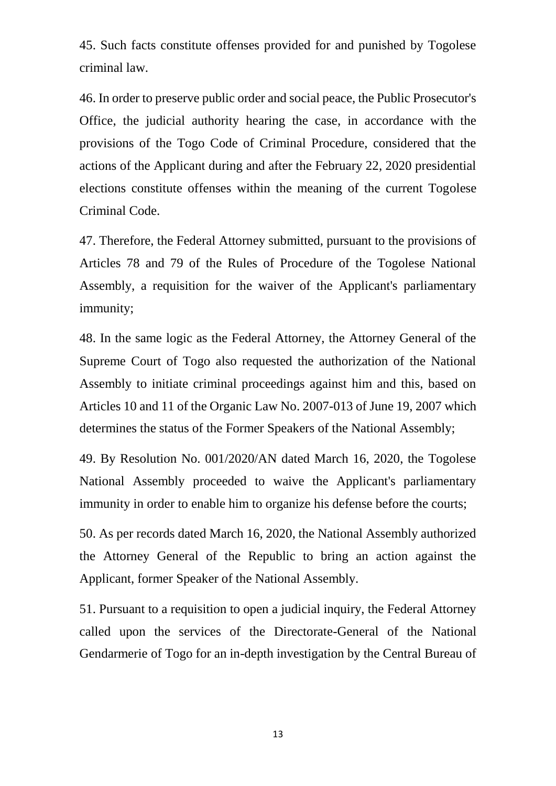45. Such facts constitute offenses provided for and punished by Togolese criminal law.

46. In order to preserve public order and social peace, the Public Prosecutor's Office, the judicial authority hearing the case, in accordance with the provisions of the Togo Code of Criminal Procedure, considered that the actions of the Applicant during and after the February 22, 2020 presidential elections constitute offenses within the meaning of the current Togolese Criminal Code.

47. Therefore, the Federal Attorney submitted, pursuant to the provisions of Articles 78 and 79 of the Rules of Procedure of the Togolese National Assembly, a requisition for the waiver of the Applicant's parliamentary immunity;

48. In the same logic as the Federal Attorney, the Attorney General of the Supreme Court of Togo also requested the authorization of the National Assembly to initiate criminal proceedings against him and this, based on Articles 10 and 11 of the Organic Law No. 2007-013 of June 19, 2007 which determines the status of the Former Speakers of the National Assembly;

49. By Resolution No. 001/2020/AN dated March 16, 2020, the Togolese National Assembly proceeded to waive the Applicant's parliamentary immunity in order to enable him to organize his defense before the courts;

50. As per records dated March 16, 2020, the National Assembly authorized the Attorney General of the Republic to bring an action against the Applicant, former Speaker of the National Assembly.

51. Pursuant to a requisition to open a judicial inquiry, the Federal Attorney called upon the services of the Directorate-General of the National Gendarmerie of Togo for an in-depth investigation by the Central Bureau of

13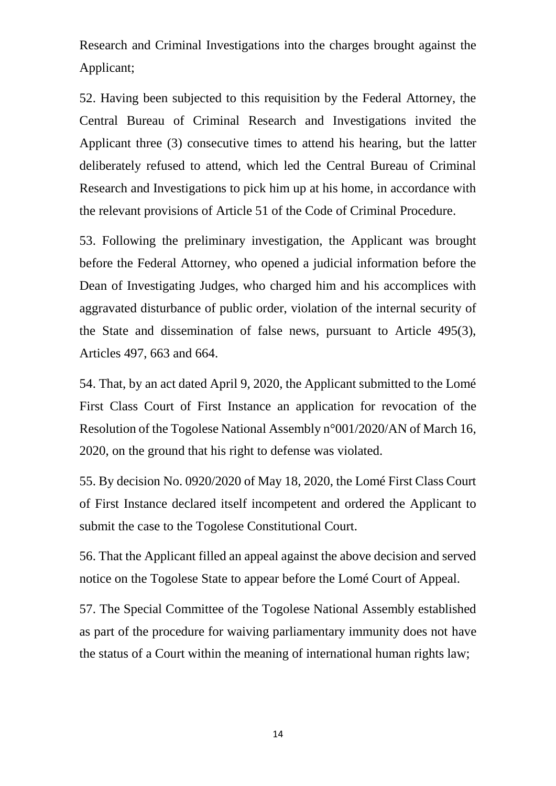Research and Criminal Investigations into the charges brought against the Applicant;

52. Having been subjected to this requisition by the Federal Attorney, the Central Bureau of Criminal Research and Investigations invited the Applicant three (3) consecutive times to attend his hearing, but the latter deliberately refused to attend, which led the Central Bureau of Criminal Research and Investigations to pick him up at his home, in accordance with the relevant provisions of Article 51 of the Code of Criminal Procedure.

53. Following the preliminary investigation, the Applicant was brought before the Federal Attorney, who opened a judicial information before the Dean of Investigating Judges, who charged him and his accomplices with aggravated disturbance of public order, violation of the internal security of the State and dissemination of false news, pursuant to Article 495(3), Articles 497, 663 and 664.

54. That, by an act dated April 9, 2020, the Applicant submitted to the Lomé First Class Court of First Instance an application for revocation of the Resolution of the Togolese National Assembly n°001/2020/AN of March 16, 2020, on the ground that his right to defense was violated.

55. By decision No. 0920/2020 of May 18, 2020, the Lomé First Class Court of First Instance declared itself incompetent and ordered the Applicant to submit the case to the Togolese Constitutional Court.

56. That the Applicant filled an appeal against the above decision and served notice on the Togolese State to appear before the Lomé Court of Appeal.

57. The Special Committee of the Togolese National Assembly established as part of the procedure for waiving parliamentary immunity does not have the status of a Court within the meaning of international human rights law;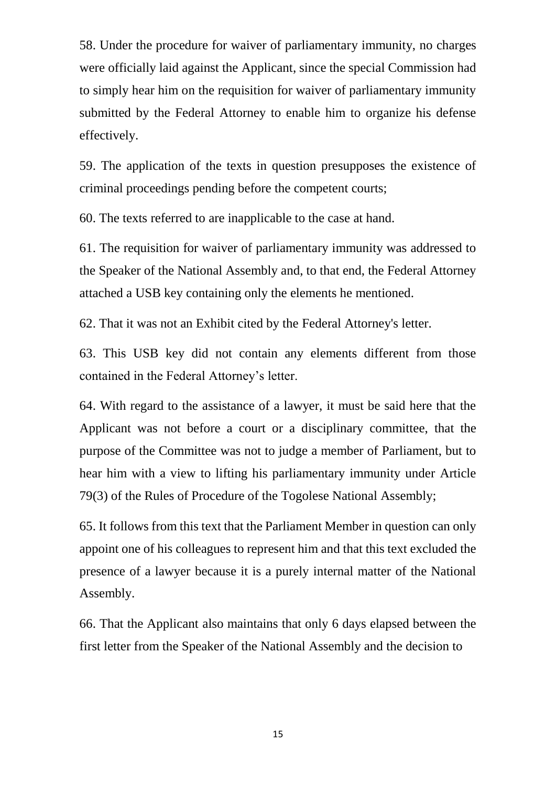58. Under the procedure for waiver of parliamentary immunity, no charges were officially laid against the Applicant, since the special Commission had to simply hear him on the requisition for waiver of parliamentary immunity submitted by the Federal Attorney to enable him to organize his defense effectively.

59. The application of the texts in question presupposes the existence of criminal proceedings pending before the competent courts;

60. The texts referred to are inapplicable to the case at hand.

61. The requisition for waiver of parliamentary immunity was addressed to the Speaker of the National Assembly and, to that end, the Federal Attorney attached a USB key containing only the elements he mentioned.

62. That it was not an Exhibit cited by the Federal Attorney's letter.

63. This USB key did not contain any elements different from those contained in the Federal Attorney's letter.

64. With regard to the assistance of a lawyer, it must be said here that the Applicant was not before a court or a disciplinary committee, that the purpose of the Committee was not to judge a member of Parliament, but to hear him with a view to lifting his parliamentary immunity under Article 79(3) of the Rules of Procedure of the Togolese National Assembly;

65. It follows from this text that the Parliament Member in question can only appoint one of his colleagues to represent him and that this text excluded the presence of a lawyer because it is a purely internal matter of the National Assembly.

66. That the Applicant also maintains that only 6 days elapsed between the first letter from the Speaker of the National Assembly and the decision to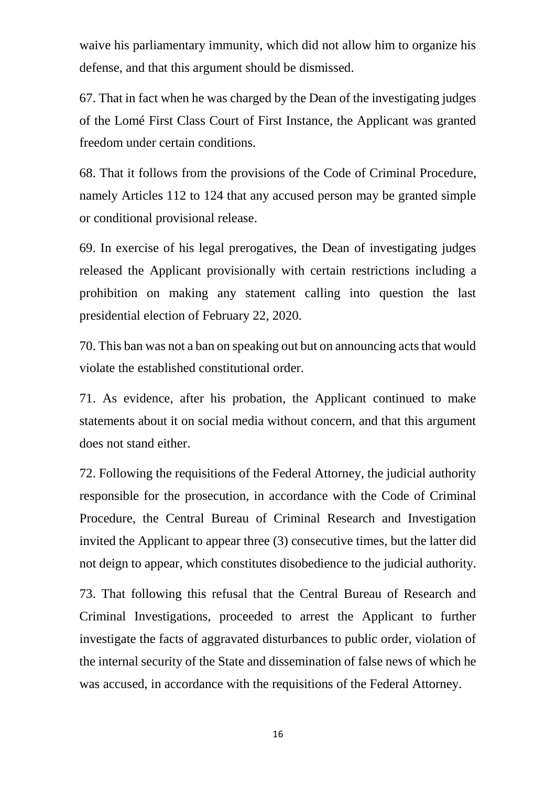waive his parliamentary immunity, which did not allow him to organize his defense, and that this argument should be dismissed.

67. That in fact when he was charged by the Dean of the investigating judges of the Lomé First Class Court of First Instance, the Applicant was granted freedom under certain conditions.

68. That it follows from the provisions of the Code of Criminal Procedure, namely Articles 112 to 124 that any accused person may be granted simple or conditional provisional release.

69. In exercise of his legal prerogatives, the Dean of investigating judges released the Applicant provisionally with certain restrictions including a prohibition on making any statement calling into question the last presidential election of February 22, 2020.

70. This ban was not a ban on speaking out but on announcing acts that would violate the established constitutional order.

71. As evidence, after his probation, the Applicant continued to make statements about it on social media without concern, and that this argument does not stand either.

72. Following the requisitions of the Federal Attorney, the judicial authority responsible for the prosecution, in accordance with the Code of Criminal Procedure, the Central Bureau of Criminal Research and Investigation invited the Applicant to appear three (3) consecutive times, but the latter did not deign to appear, which constitutes disobedience to the judicial authority.

73. That following this refusal that the Central Bureau of Research and Criminal Investigations, proceeded to arrest the Applicant to further investigate the facts of aggravated disturbances to public order, violation of the internal security of the State and dissemination of false news of which he was accused, in accordance with the requisitions of the Federal Attorney.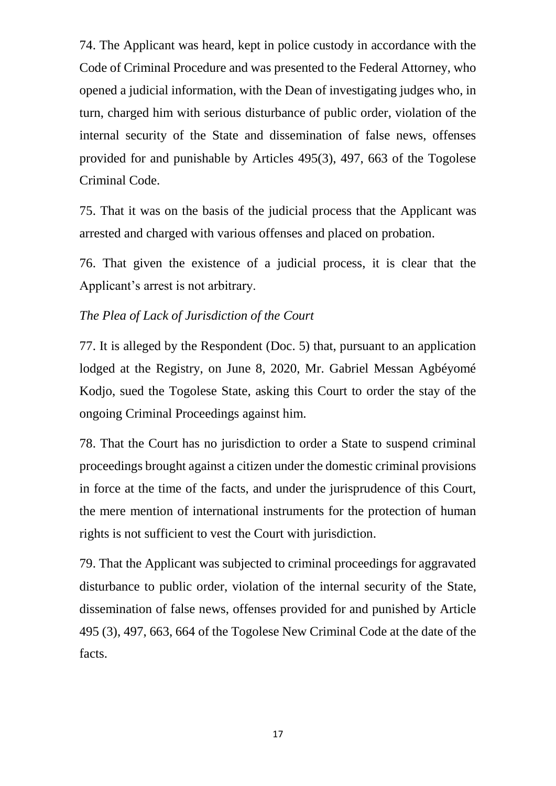74. The Applicant was heard, kept in police custody in accordance with the Code of Criminal Procedure and was presented to the Federal Attorney, who opened a judicial information, with the Dean of investigating judges who, in turn, charged him with serious disturbance of public order, violation of the internal security of the State and dissemination of false news, offenses provided for and punishable by Articles 495(3), 497, 663 of the Togolese Criminal Code.

75. That it was on the basis of the judicial process that the Applicant was arrested and charged with various offenses and placed on probation.

76. That given the existence of a judicial process, it is clear that the Applicant's arrest is not arbitrary.

#### *The Plea of Lack of Jurisdiction of the Court*

77. It is alleged by the Respondent (Doc. 5) that, pursuant to an application lodged at the Registry, on June 8, 2020, Mr. Gabriel Messan Agbéyomé Kodjo, sued the Togolese State, asking this Court to order the stay of the ongoing Criminal Proceedings against him.

78. That the Court has no jurisdiction to order a State to suspend criminal proceedings brought against a citizen under the domestic criminal provisions in force at the time of the facts, and under the jurisprudence of this Court, the mere mention of international instruments for the protection of human rights is not sufficient to vest the Court with jurisdiction.

79. That the Applicant was subjected to criminal proceedings for aggravated disturbance to public order, violation of the internal security of the State, dissemination of false news, offenses provided for and punished by Article 495 (3), 497, 663, 664 of the Togolese New Criminal Code at the date of the facts.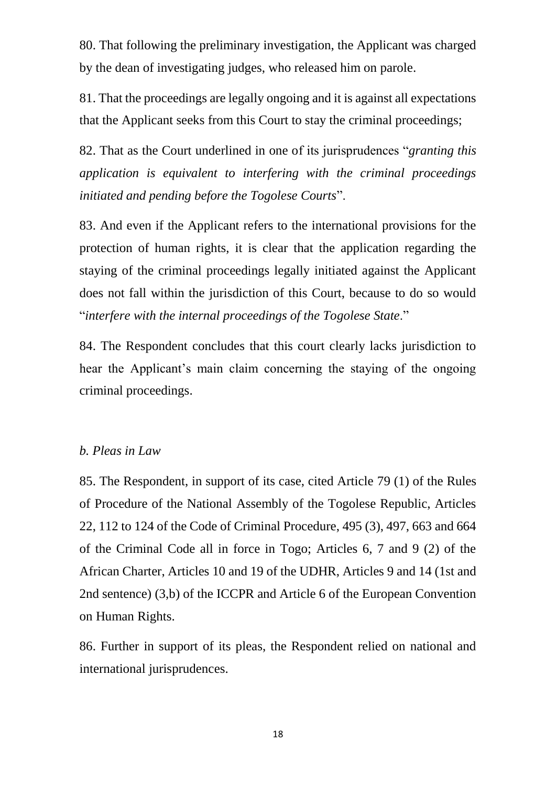80. That following the preliminary investigation, the Applicant was charged by the dean of investigating judges, who released him on parole.

81. That the proceedings are legally ongoing and it is against all expectations that the Applicant seeks from this Court to stay the criminal proceedings;

82. That as the Court underlined in one of its jurisprudences "*granting this application is equivalent to interfering with the criminal proceedings initiated and pending before the Togolese Courts*".

83. And even if the Applicant refers to the international provisions for the protection of human rights, it is clear that the application regarding the staying of the criminal proceedings legally initiated against the Applicant does not fall within the jurisdiction of this Court, because to do so would "*interfere with the internal proceedings of the Togolese State*."

84. The Respondent concludes that this court clearly lacks jurisdiction to hear the Applicant's main claim concerning the staying of the ongoing criminal proceedings.

#### *b. Pleas in Law*

85. The Respondent, in support of its case, cited Article 79 (1) of the Rules of Procedure of the National Assembly of the Togolese Republic, Articles 22, 112 to 124 of the Code of Criminal Procedure, 495 (3), 497, 663 and 664 of the Criminal Code all in force in Togo; Articles 6, 7 and 9 (2) of the African Charter, Articles 10 and 19 of the UDHR, Articles 9 and 14 (1st and 2nd sentence) (3,b) of the ICCPR and Article 6 of the European Convention on Human Rights.

86. Further in support of its pleas, the Respondent relied on national and international jurisprudences.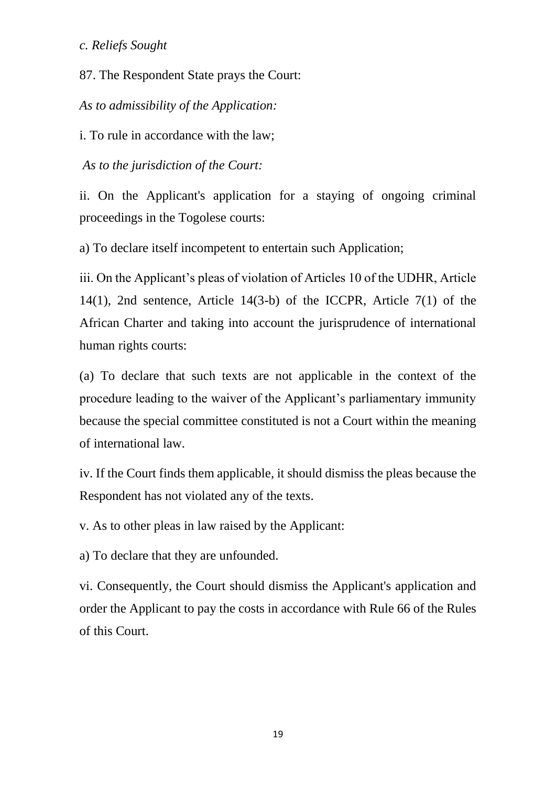*c. Reliefs Sought*

87. The Respondent State prays the Court:

*As to admissibility of the Application:*

i. To rule in accordance with the law;

*As to the jurisdiction of the Court:*

ii. On the Applicant's application for a staying of ongoing criminal proceedings in the Togolese courts:

a) To declare itself incompetent to entertain such Application;

iii. On the Applicant's pleas of violation of Articles 10 of the UDHR, Article 14(1), 2nd sentence, Article 14(3-b) of the ICCPR, Article 7(1) of the African Charter and taking into account the jurisprudence of international human rights courts:

(a) To declare that such texts are not applicable in the context of the procedure leading to the waiver of the Applicant's parliamentary immunity because the special committee constituted is not a Court within the meaning of international law.

iv. If the Court finds them applicable, it should dismiss the pleas because the Respondent has not violated any of the texts.

v. As to other pleas in law raised by the Applicant:

a) To declare that they are unfounded.

vi. Consequently, the Court should dismiss the Applicant's application and order the Applicant to pay the costs in accordance with Rule 66 of the Rules of this Court.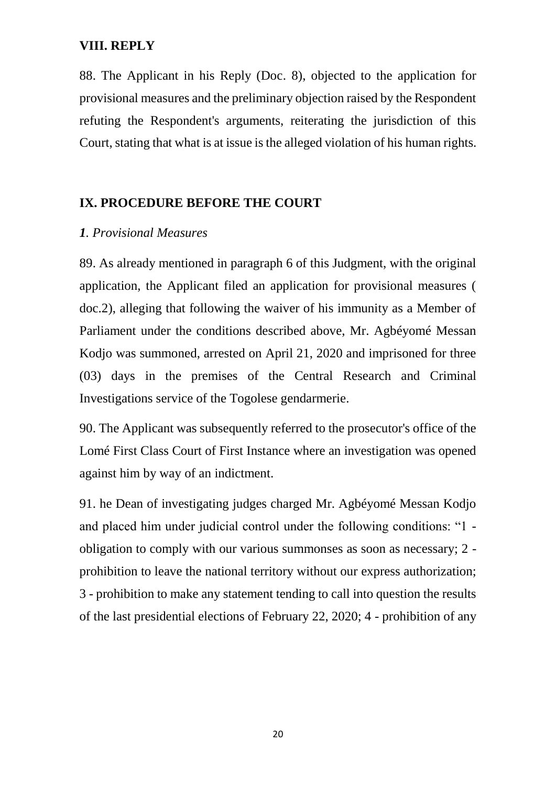#### **VIII. REPLY**

88. The Applicant in his Reply (Doc. 8), objected to the application for provisional measures and the preliminary objection raised by the Respondent refuting the Respondent's arguments, reiterating the jurisdiction of this Court, stating that what is at issue is the alleged violation of his human rights.

#### **IX. PROCEDURE BEFORE THE COURT**

#### *1. Provisional Measures*

89. As already mentioned in paragraph 6 of this Judgment, with the original application, the Applicant filed an application for provisional measures ( doc.2), alleging that following the waiver of his immunity as a Member of Parliament under the conditions described above, Mr. Agbéyomé Messan Kodio was summoned, arrested on April 21, 2020 and imprisoned for three (03) days in the premises of the Central Research and Criminal Investigations service of the Togolese gendarmerie.

90. The Applicant was subsequently referred to the prosecutor's office of the Lomé First Class Court of First Instance where an investigation was opened against him by way of an indictment.

91. he Dean of investigating judges charged Mr. Agbéyomé Messan Kodjo and placed him under judicial control under the following conditions: "1 obligation to comply with our various summonses as soon as necessary; 2 prohibition to leave the national territory without our express authorization; 3 - prohibition to make any statement tending to call into question the results of the last presidential elections of February 22, 2020; 4 - prohibition of any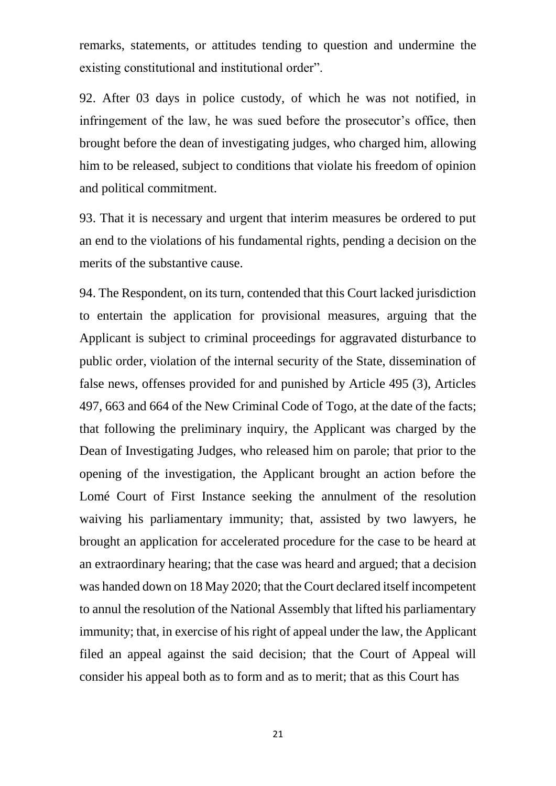remarks, statements, or attitudes tending to question and undermine the existing constitutional and institutional order".

92. After 03 days in police custody, of which he was not notified, in infringement of the law, he was sued before the prosecutor's office, then brought before the dean of investigating judges, who charged him, allowing him to be released, subject to conditions that violate his freedom of opinion and political commitment.

93. That it is necessary and urgent that interim measures be ordered to put an end to the violations of his fundamental rights, pending a decision on the merits of the substantive cause.

94. The Respondent, on its turn, contended that this Court lacked jurisdiction to entertain the application for provisional measures, arguing that the Applicant is subject to criminal proceedings for aggravated disturbance to public order, violation of the internal security of the State, dissemination of false news, offenses provided for and punished by Article 495 (3), Articles 497, 663 and 664 of the New Criminal Code of Togo, at the date of the facts; that following the preliminary inquiry, the Applicant was charged by the Dean of Investigating Judges, who released him on parole; that prior to the opening of the investigation, the Applicant brought an action before the Lomé Court of First Instance seeking the annulment of the resolution waiving his parliamentary immunity; that, assisted by two lawyers, he brought an application for accelerated procedure for the case to be heard at an extraordinary hearing; that the case was heard and argued; that a decision was handed down on 18 May 2020; that the Court declared itself incompetent to annul the resolution of the National Assembly that lifted his parliamentary immunity; that, in exercise of his right of appeal under the law, the Applicant filed an appeal against the said decision; that the Court of Appeal will consider his appeal both as to form and as to merit; that as this Court has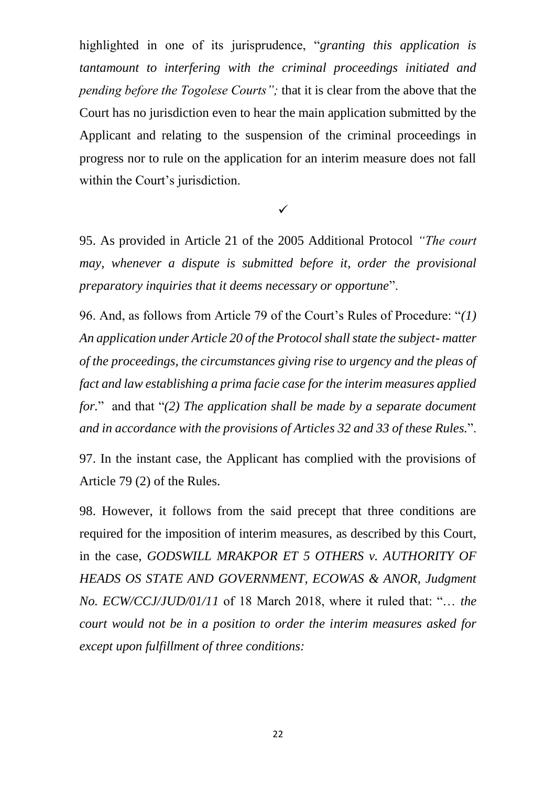highlighted in one of its jurisprudence, "*granting this application is tantamount to interfering with the criminal proceedings initiated and pending before the Togolese Courts";* that it is clear from the above that the Court has no jurisdiction even to hear the main application submitted by the Applicant and relating to the suspension of the criminal proceedings in progress nor to rule on the application for an interim measure does not fall within the Court's jurisdiction.

 $\checkmark$ 

95. As provided in Article 21 of the 2005 Additional Protocol *"The court may, whenever a dispute is submitted before it, order the provisional preparatory inquiries that it deems necessary or opportune*".

96. And, as follows from Article 79 of the Court's Rules of Procedure: "*(1) An application under Article 20 of the Protocol shall state the subject- matter of the proceedings, the circumstances giving rise to urgency and the pleas of fact and law establishing a prima facie case for the interim measures applied for.*" and that "*(2) The application shall be made by a separate document and in accordance with the provisions of Articles 32 and 33 of these Rules.*".

97. In the instant case, the Applicant has complied with the provisions of Article 79 (2) of the Rules.

98. However, it follows from the said precept that three conditions are required for the imposition of interim measures, as described by this Court, in the case, *GODSWILL MRAKPOR ET 5 OTHERS v. AUTHORITY OF HEADS OS STATE AND GOVERNMENT, ECOWAS & ANOR, Judgment No. ECW/CCJ/JUD/01/11* of 18 March 2018, where it ruled that: "… *the court would not be in a position to order the interim measures asked for except upon fulfillment of three conditions:*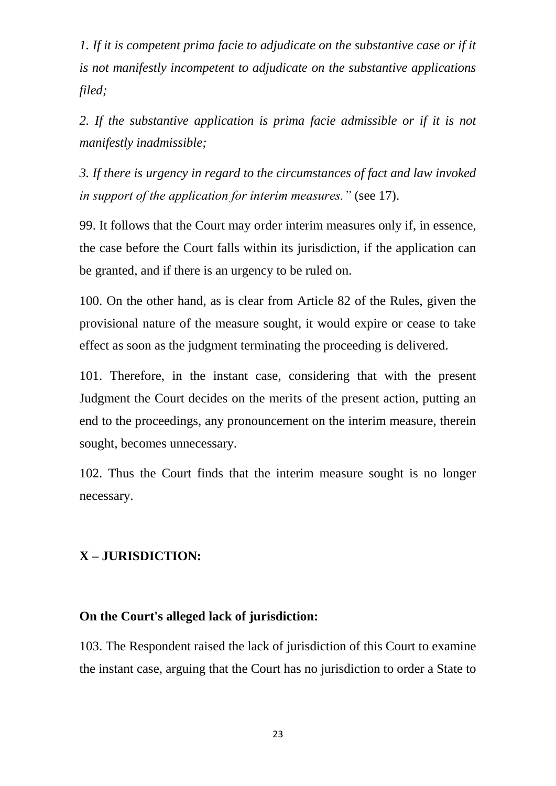*1. If it is competent prima facie to adjudicate on the substantive case or if it is not manifestly incompetent to adjudicate on the substantive applications filed;*

*2. If the substantive application is prima facie admissible or if it is not manifestly inadmissible;*

*3. If there is urgency in regard to the circumstances of fact and law invoked in support of the application for interim measures."* (see 17).

99. It follows that the Court may order interim measures only if, in essence, the case before the Court falls within its jurisdiction, if the application can be granted, and if there is an urgency to be ruled on.

100. On the other hand, as is clear from Article 82 of the Rules, given the provisional nature of the measure sought, it would expire or cease to take effect as soon as the judgment terminating the proceeding is delivered.

101. Therefore, in the instant case, considering that with the present Judgment the Court decides on the merits of the present action, putting an end to the proceedings, any pronouncement on the interim measure, therein sought, becomes unnecessary.

102. Thus the Court finds that the interim measure sought is no longer necessary.

#### **X – JURISDICTION:**

#### **On the Court's alleged lack of jurisdiction:**

103. The Respondent raised the lack of jurisdiction of this Court to examine the instant case, arguing that the Court has no jurisdiction to order a State to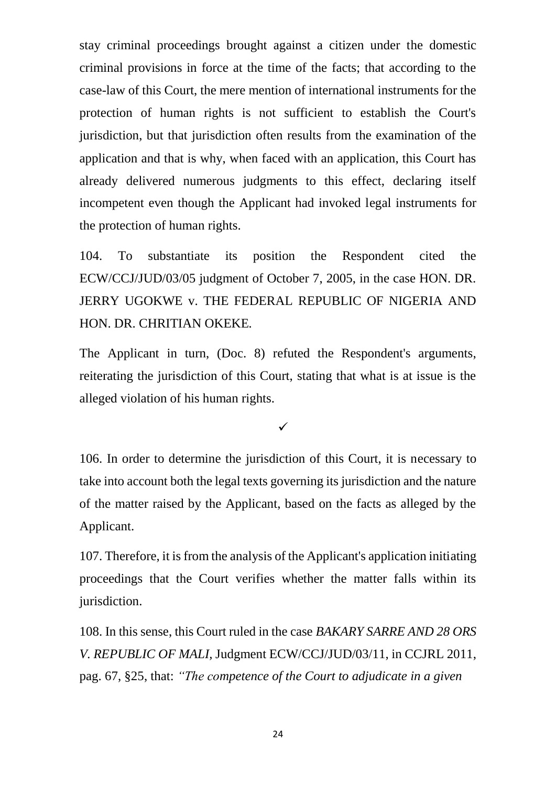stay criminal proceedings brought against a citizen under the domestic criminal provisions in force at the time of the facts; that according to the case-law of this Court, the mere mention of international instruments for the protection of human rights is not sufficient to establish the Court's jurisdiction, but that jurisdiction often results from the examination of the application and that is why, when faced with an application, this Court has already delivered numerous judgments to this effect, declaring itself incompetent even though the Applicant had invoked legal instruments for the protection of human rights.

104. To substantiate its position the Respondent cited the ECW/CCJ/JUD/03/05 judgment of October 7, 2005, in the case HON. DR. JERRY UGOKWE v. THE FEDERAL REPUBLIC OF NIGERIA AND HON. DR. CHRITIAN OKEKE*.*

The Applicant in turn, (Doc. 8) refuted the Respondent's arguments, reiterating the jurisdiction of this Court, stating that what is at issue is the alleged violation of his human rights.

 $\checkmark$ 

106. In order to determine the jurisdiction of this Court, it is necessary to take into account both the legal texts governing its jurisdiction and the nature of the matter raised by the Applicant, based on the facts as alleged by the Applicant.

107. Therefore, it is from the analysis of the Applicant's application initiating proceedings that the Court verifies whether the matter falls within its jurisdiction.

108. In this sense, this Court ruled in the case *BAKARY SARRE AND 28 ORS V. REPUBLIC OF MALI,* Judgment ECW/CCJ/JUD/03/11, in CCJRL 2011, pag. 67, §25, that: *"The competence of the Court to adjudicate in a given*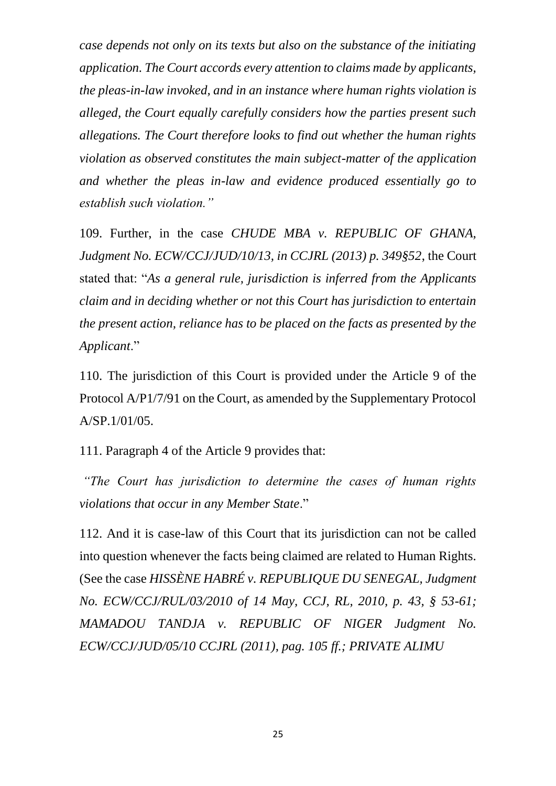*case depends not only on its texts but also on the substance of the initiating application. The Court accords every attention to claims made by applicants, the pleas-in-law invoked, and in an instance where human rights violation is alleged, the Court equally carefully considers how the parties present such allegations. The Court therefore looks to find out whether the human rights violation as observed constitutes the main subject-matter of the application and whether the pleas in-law and evidence produced essentially go to establish such violation."*

109. Further, in the case *CHUDE MBA v. REPUBLIC OF GHANA, Judgment No. ECW/CCJ/JUD/10/13, in CCJRL (2013) p. 349§52*, the Court stated that: "*As a general rule, jurisdiction is inferred from the Applicants claim and in deciding whether or not this Court has jurisdiction to entertain the present action, reliance has to be placed on the facts as presented by the Applicant*."

110. The jurisdiction of this Court is provided under the Article 9 of the Protocol A/P1/7/91 on the Court, as amended by the Supplementary Protocol A/SP.1/01/05.

111. Paragraph 4 of the Article 9 provides that:

*"The Court has jurisdiction to determine the cases of human rights violations that occur in any Member State*."

112. And it is case-law of this Court that its jurisdiction can not be called into question whenever the facts being claimed are related to Human Rights. (See the case *HISSÈNE HABRÉ v. REPUBLIQUE DU SENEGAL, Judgment No. ECW/CCJ/RUL/03/2010 of 14 May, CCJ, RL, 2010, p. 43, § 53-61; MAMADOU TANDJA v. REPUBLIC OF NIGER Judgment No. ECW/CCJ/JUD/05/10 CCJRL (2011), pag. 105 ff.; PRIVATE ALIMU*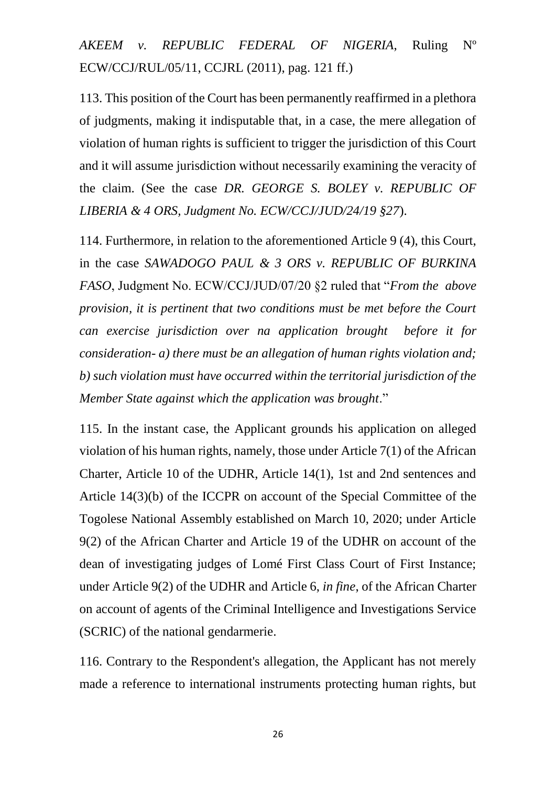*AKEEM v. REPUBLIC FEDERAL OF NIGERIA*, Ruling Nº ECW/CCJ/RUL/05/11, CCJRL (2011), pag. 121 ff.)

113. This position of the Court has been permanently reaffirmed in a plethora of judgments, making it indisputable that, in a case, the mere allegation of violation of human rights is sufficient to trigger the jurisdiction of this Court and it will assume jurisdiction without necessarily examining the veracity of the claim. (See the case *DR. GEORGE S. BOLEY v. REPUBLIC OF LIBERIA & 4 ORS, Judgment No. ECW/CCJ/JUD/24/19 §27*).

114. Furthermore, in relation to the aforementioned Article 9 (4), this Court, in the case *SAWADOGO PAUL & 3 ORS v. REPUBLIC OF BURKINA FASO*, Judgment No. ECW/CCJ/JUD/07/20 §2 ruled that "*From the above provision, it is pertinent that two conditions must be met before the Court can exercise jurisdiction over na application brought before it for consideration- a) there must be an allegation of human rights violation and; b) such violation must have occurred within the territorial jurisdiction of the Member State against which the application was brought*."

115. In the instant case, the Applicant grounds his application on alleged violation of his human rights, namely, those under Article 7(1) of the African Charter, Article 10 of the UDHR, Article 14(1), 1st and 2nd sentences and Article 14(3)(b) of the ICCPR on account of the Special Committee of the Togolese National Assembly established on March 10, 2020; under Article 9(2) of the African Charter and Article 19 of the UDHR on account of the dean of investigating judges of Lomé First Class Court of First Instance; under Article 9(2) of the UDHR and Article 6, *in fine*, of the African Charter on account of agents of the Criminal Intelligence and Investigations Service (SCRIC) of the national gendarmerie.

116. Contrary to the Respondent's allegation, the Applicant has not merely made a reference to international instruments protecting human rights, but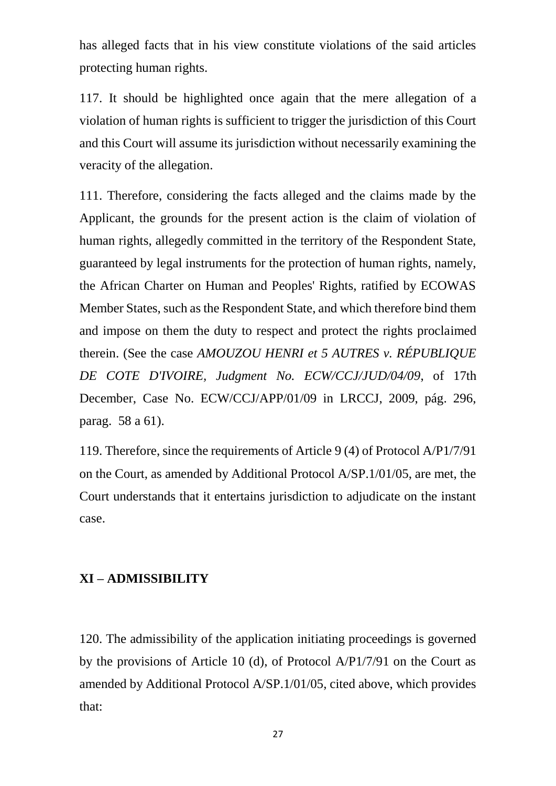has alleged facts that in his view constitute violations of the said articles protecting human rights.

117. It should be highlighted once again that the mere allegation of a violation of human rights is sufficient to trigger the jurisdiction of this Court and this Court will assume its jurisdiction without necessarily examining the veracity of the allegation.

111. Therefore, considering the facts alleged and the claims made by the Applicant, the grounds for the present action is the claim of violation of human rights, allegedly committed in the territory of the Respondent State, guaranteed by legal instruments for the protection of human rights, namely, the African Charter on Human and Peoples' Rights, ratified by ECOWAS Member States, such as the Respondent State, and which therefore bind them and impose on them the duty to respect and protect the rights proclaimed therein. (See the case *AMOUZOU HENRI et 5 AUTRES v. RÉPUBLIQUE DE COTE D'IVOIRE, Judgment No. ECW/CCJ/JUD/04/09*, of 17th December, Case No. ECW/CCJ/APP/01/09 in LRCCJ, 2009, pág. 296, parag. 58 a 61).

119. Therefore, since the requirements of Article 9 (4) of Protocol A/P1/7/91 on the Court, as amended by Additional Protocol A/SP.1/01/05, are met, the Court understands that it entertains jurisdiction to adjudicate on the instant case.

#### **XI – ADMISSIBILITY**

120. The admissibility of the application initiating proceedings is governed by the provisions of Article 10 (d), of Protocol A/P1/7/91 on the Court as amended by Additional Protocol A/SP.1/01/05, cited above, which provides that: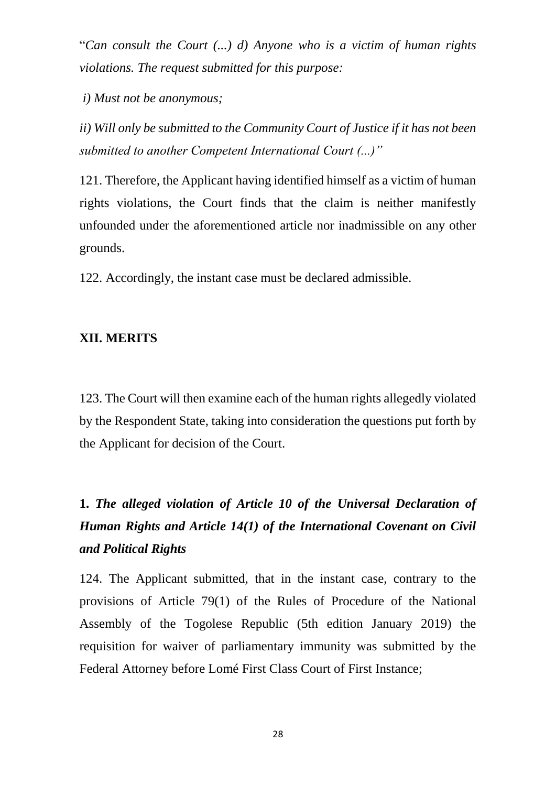"*Can consult the Court (...) d) Anyone who is a victim of human rights violations. The request submitted for this purpose:*

*i) Must not be anonymous;*

*ii) Will only be submitted to the Community Court of Justice if it has not been submitted to another Competent International Court (...)"*

121. Therefore, the Applicant having identified himself as a victim of human rights violations, the Court finds that the claim is neither manifestly unfounded under the aforementioned article nor inadmissible on any other grounds.

122. Accordingly, the instant case must be declared admissible.

#### **XII. MERITS**

123. The Court will then examine each of the human rights allegedly violated by the Respondent State, taking into consideration the questions put forth by the Applicant for decision of the Court.

# **1.** *The alleged violation of Article 10 of the Universal Declaration of Human Rights and Article 14(1) of the International Covenant on Civil and Political Rights*

124. The Applicant submitted, that in the instant case, contrary to the provisions of Article 79(1) of the Rules of Procedure of the National Assembly of the Togolese Republic (5th edition January 2019) the requisition for waiver of parliamentary immunity was submitted by the Federal Attorney before Lomé First Class Court of First Instance;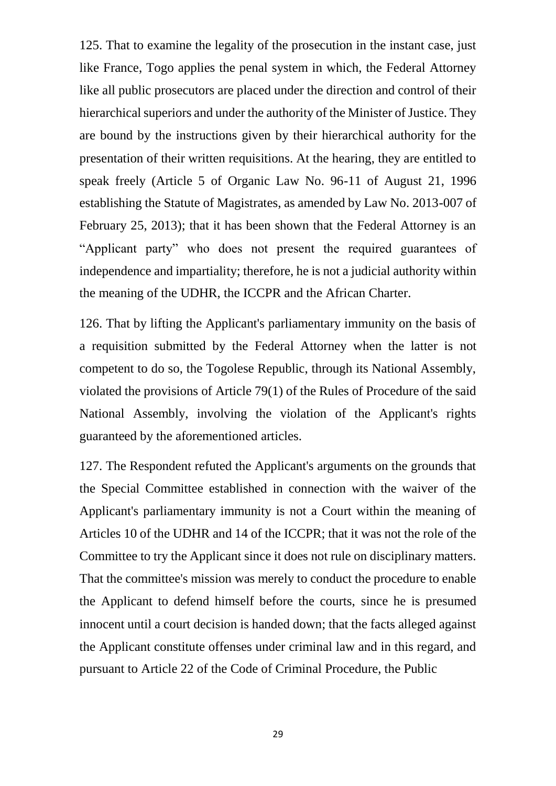125. That to examine the legality of the prosecution in the instant case, just like France, Togo applies the penal system in which, the Federal Attorney like all public prosecutors are placed under the direction and control of their hierarchical superiors and under the authority of the Minister of Justice. They are bound by the instructions given by their hierarchical authority for the presentation of their written requisitions. At the hearing, they are entitled to speak freely (Article 5 of Organic Law No. 96-11 of August 21, 1996 establishing the Statute of Magistrates, as amended by Law No. 2013-007 of February 25, 2013); that it has been shown that the Federal Attorney is an "Applicant party" who does not present the required guarantees of independence and impartiality; therefore, he is not a judicial authority within the meaning of the UDHR, the ICCPR and the African Charter.

126. That by lifting the Applicant's parliamentary immunity on the basis of a requisition submitted by the Federal Attorney when the latter is not competent to do so, the Togolese Republic, through its National Assembly, violated the provisions of Article 79(1) of the Rules of Procedure of the said National Assembly, involving the violation of the Applicant's rights guaranteed by the aforementioned articles.

127. The Respondent refuted the Applicant's arguments on the grounds that the Special Committee established in connection with the waiver of the Applicant's parliamentary immunity is not a Court within the meaning of Articles 10 of the UDHR and 14 of the ICCPR; that it was not the role of the Committee to try the Applicant since it does not rule on disciplinary matters. That the committee's mission was merely to conduct the procedure to enable the Applicant to defend himself before the courts, since he is presumed innocent until a court decision is handed down; that the facts alleged against the Applicant constitute offenses under criminal law and in this regard, and pursuant to Article 22 of the Code of Criminal Procedure, the Public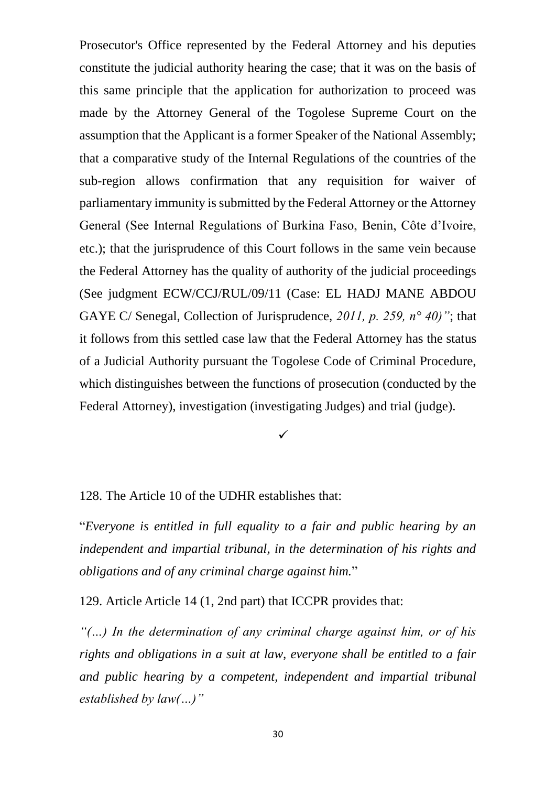Prosecutor's Office represented by the Federal Attorney and his deputies constitute the judicial authority hearing the case; that it was on the basis of this same principle that the application for authorization to proceed was made by the Attorney General of the Togolese Supreme Court on the assumption that the Applicant is a former Speaker of the National Assembly; that a comparative study of the Internal Regulations of the countries of the sub-region allows confirmation that any requisition for waiver of parliamentary immunity is submitted by the Federal Attorney or the Attorney General (See Internal Regulations of Burkina Faso, Benin, Côte d'Ivoire, etc.); that the jurisprudence of this Court follows in the same vein because the Federal Attorney has the quality of authority of the judicial proceedings (See judgment ECW/CCJ/RUL/09/11 (Case: EL HADJ MANE ABDOU GAYE C/ Senegal, Collection of Jurisprudence, *2011, p. 259, n° 40)"*; that it follows from this settled case law that the Federal Attorney has the status of a Judicial Authority pursuant the Togolese Code of Criminal Procedure, which distinguishes between the functions of prosecution (conducted by the Federal Attorney), investigation (investigating Judges) and trial (judge).

 $\checkmark$ 

128. The Article 10 of the UDHR establishes that:

"*Everyone is entitled in full equality to a fair and public hearing by an independent and impartial tribunal, in the determination of his rights and obligations and of any criminal charge against him.*"

129. Article Article 14 (1, 2nd part) that ICCPR provides that:

*"(…) In the determination of any criminal charge against him, or of his rights and obligations in a suit at law, everyone shall be entitled to a fair and public hearing by a competent, independent and impartial tribunal established by law(…)"*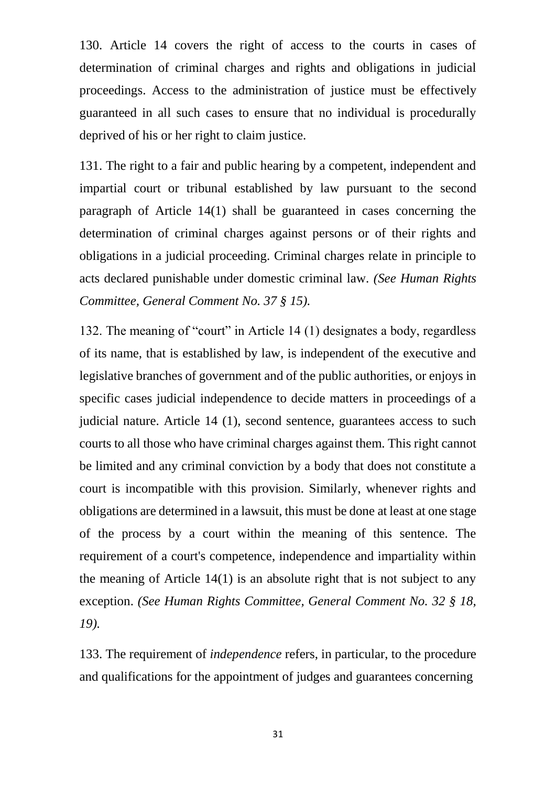130. Article 14 covers the right of access to the courts in cases of determination of criminal charges and rights and obligations in judicial proceedings. Access to the administration of justice must be effectively guaranteed in all such cases to ensure that no individual is procedurally deprived of his or her right to claim justice.

131. The right to a fair and public hearing by a competent, independent and impartial court or tribunal established by law pursuant to the second paragraph of Article 14(1) shall be guaranteed in cases concerning the determination of criminal charges against persons or of their rights and obligations in a judicial proceeding. Criminal charges relate in principle to acts declared punishable under domestic criminal law. *(See Human Rights Committee, General Comment No. 37 § 15).*

132. The meaning of "court" in Article 14 (1) designates a body, regardless of its name, that is established by law, is independent of the executive and legislative branches of government and of the public authorities, or enjoys in specific cases judicial independence to decide matters in proceedings of a judicial nature. Article 14 (1), second sentence, guarantees access to such courts to all those who have criminal charges against them. This right cannot be limited and any criminal conviction by a body that does not constitute a court is incompatible with this provision. Similarly, whenever rights and obligations are determined in a lawsuit, this must be done at least at one stage of the process by a court within the meaning of this sentence. The requirement of a court's competence, independence and impartiality within the meaning of Article 14(1) is an absolute right that is not subject to any exception. *(See Human Rights Committee, General Comment No. 32 § 18, 19).*

133. The requirement of *independence* refers, in particular, to the procedure and qualifications for the appointment of judges and guarantees concerning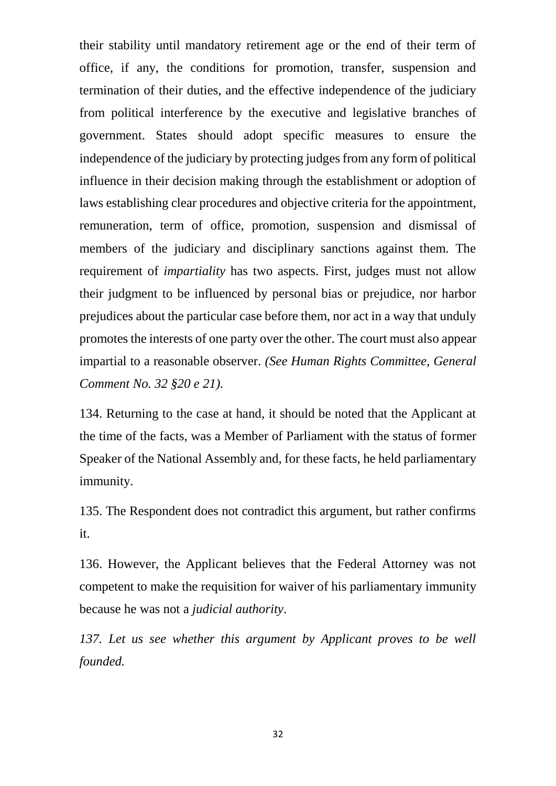their stability until mandatory retirement age or the end of their term of office, if any, the conditions for promotion, transfer, suspension and termination of their duties, and the effective independence of the judiciary from political interference by the executive and legislative branches of government. States should adopt specific measures to ensure the independence of the judiciary by protecting judges from any form of political influence in their decision making through the establishment or adoption of laws establishing clear procedures and objective criteria for the appointment, remuneration, term of office, promotion, suspension and dismissal of members of the judiciary and disciplinary sanctions against them. The requirement of *impartiality* has two aspects. First, judges must not allow their judgment to be influenced by personal bias or prejudice, nor harbor prejudices about the particular case before them, nor act in a way that unduly promotes the interests of one party over the other. The court must also appear impartial to a reasonable observer. *(See Human Rights Committee, General Comment No. 32 §20 e 21).*

134. Returning to the case at hand, it should be noted that the Applicant at the time of the facts, was a Member of Parliament with the status of former Speaker of the National Assembly and, for these facts, he held parliamentary immunity.

135. The Respondent does not contradict this argument, but rather confirms it.

136. However, the Applicant believes that the Federal Attorney was not competent to make the requisition for waiver of his parliamentary immunity because he was not a *judicial authority*.

137. Let us see whether this argument by Applicant proves to be well *founded.*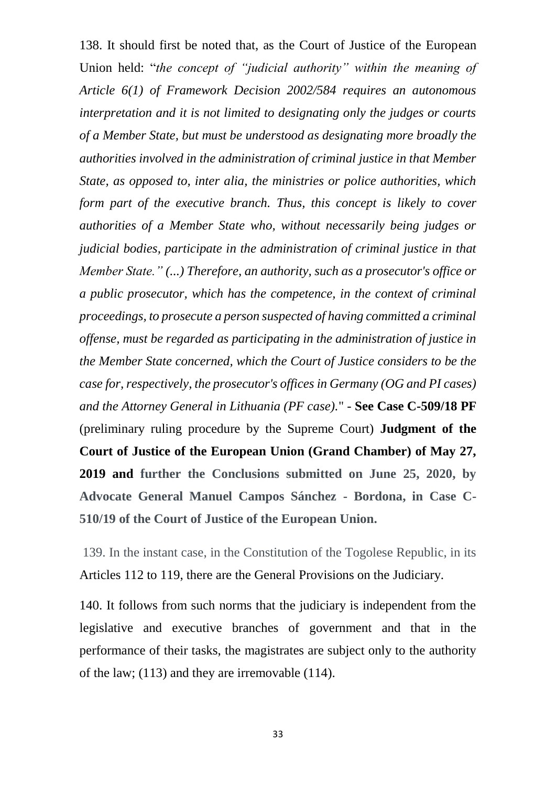138. It should first be noted that, as the Court of Justice of the European Union held: "*the concept of "judicial authority" within the meaning of Article 6(1) of Framework Decision 2002/584 requires an autonomous interpretation and it is not limited to designating only the judges or courts of a Member State, but must be understood as designating more broadly the authorities involved in the administration of criminal justice in that Member State, as opposed to, inter alia, the ministries or police authorities, which form part of the executive branch. Thus, this concept is likely to cover authorities of a Member State who, without necessarily being judges or judicial bodies, participate in the administration of criminal justice in that Member State." (...) Therefore, an authority, such as a prosecutor's office or a public prosecutor, which has the competence, in the context of criminal proceedings, to prosecute a person suspected of having committed a criminal offense, must be regarded as participating in the administration of justice in the Member State concerned, which the Court of Justice considers to be the case for, respectively, the prosecutor's offices in Germany (OG and PI cases) and the Attorney General in Lithuania (PF case).*" - **See Case C-509/18 PF**  (preliminary ruling procedure by the Supreme Court) **Judgment of the Court of Justice of the European Union (Grand Chamber) of May 27, 2019 and further the Conclusions submitted on June 25, 2020, by Advocate General Manuel Campos Sánchez - Bordona, in Case C-510/19 of the Court of Justice of the European Union.** 

139. In the instant case, in the Constitution of the Togolese Republic, in its Articles 112 to 119, there are the General Provisions on the Judiciary.

140. It follows from such norms that the judiciary is independent from the legislative and executive branches of government and that in the performance of their tasks, the magistrates are subject only to the authority of the law; (113) and they are irremovable (114).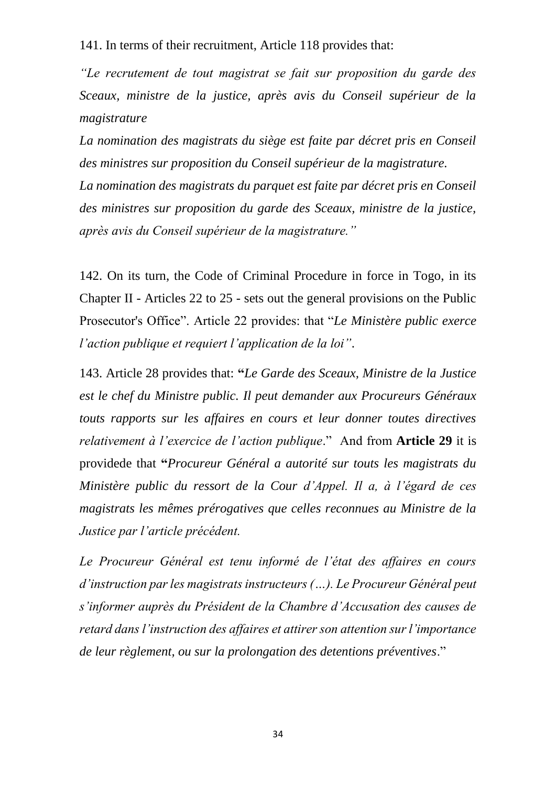141. In terms of their recruitment, Article 118 provides that:

*"Le recrutement de tout magistrat se fait sur proposition du garde des Sceaux, ministre de la justice, après avis du Conseil supérieur de la magistrature* 

*La nomination des magistrats du siège est faite par décret pris en Conseil des ministres sur proposition du Conseil supérieur de la magistrature. La nomination des magistrats du parquet est faite par décret pris en Conseil des ministres sur proposition du garde des Sceaux, ministre de la justice, après avis du Conseil supérieur de la magistrature."*

142. On its turn, the Code of Criminal Procedure in force in Togo, in its Chapter II - Articles 22 to 25 - sets out the general provisions on the Public Prosecutor's Office". Article 22 provides: that "*Le Ministère public exerce l'action publique et requiert l'application de la loi"*.

143. Article 28 provides that: **"***Le Garde des Sceaux, Ministre de la Justice est le chef du Ministre public. Il peut demander aux Procureurs Généraux touts rapports sur les affaires en cours et leur donner toutes directives relativement à l'exercice de l'action publique*." And from **Article 29** it is providede that **"***Procureur Général a autorité sur touts les magistrats du Ministère public du ressort de la Cour d'Appel. Il a, à l'égard de ces magistrats les mêmes prérogatives que celles reconnues au Ministre de la Justice par l'article précédent.*

*Le Procureur Général est tenu informé de l'état des affaires en cours d'instruction par les magistrats instructeurs (…). Le Procureur Général peut s'informer auprès du Président de la Chambre d'Accusation des causes de retard dans l'instruction des affaires et attirer son attention sur l'importance de leur règlement, ou sur la prolongation des detentions préventives*."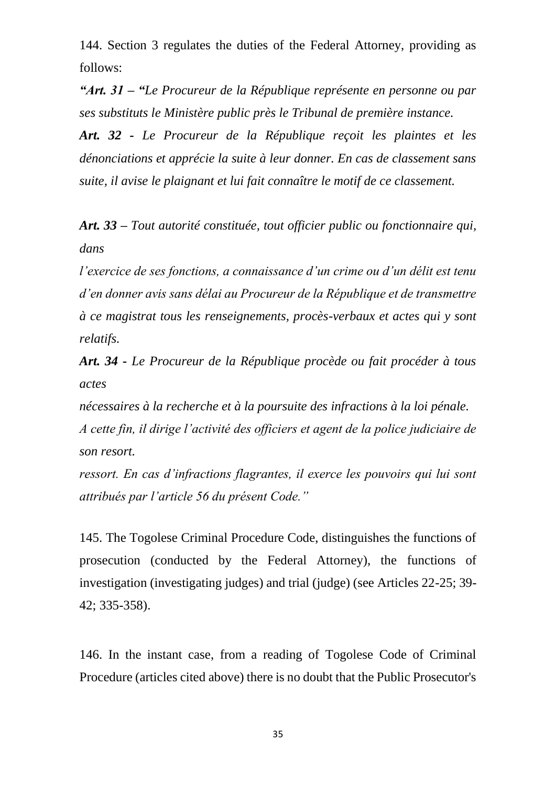144. Section 3 regulates the duties of the Federal Attorney, providing as follows:

*"Art. 31 – "Le Procureur de la République représente en personne ou par ses substituts le Ministère public près le Tribunal de première instance.*

*Art. 32 - Le Procureur de la République reçoit les plaintes et les dénonciations et apprécie la suite à leur donner. En cas de classement sans suite, il avise le plaignant et lui fait connaître le motif de ce classement.*

*Art. 33 – Tout autorité constituée, tout officier public ou fonctionnaire qui, dans*

*l'exercice de ses fonctions, a connaissance d'un crime ou d'un délit est tenu d'en donner avis sans délai au Procureur de la République et de transmettre à ce magistrat tous les renseignements, procès-verbaux et actes qui y sont relatifs.*

*Art. 34 - Le Procureur de la République procède ou fait procéder à tous actes*

*nécessaires à la recherche et à la poursuite des infractions à la loi pénale. A cette fin, il dirige l'activité des officiers et agent de la police judiciaire de son resort.*

*ressort. En cas d'infractions flagrantes, il exerce les pouvoirs qui lui sont attribués par l'article 56 du présent Code."*

145. The Togolese Criminal Procedure Code, distinguishes the functions of prosecution (conducted by the Federal Attorney), the functions of investigation (investigating judges) and trial (judge) (see Articles 22-25; 39- 42; 335-358).

146. In the instant case, from a reading of Togolese Code of Criminal Procedure (articles cited above) there is no doubt that the Public Prosecutor's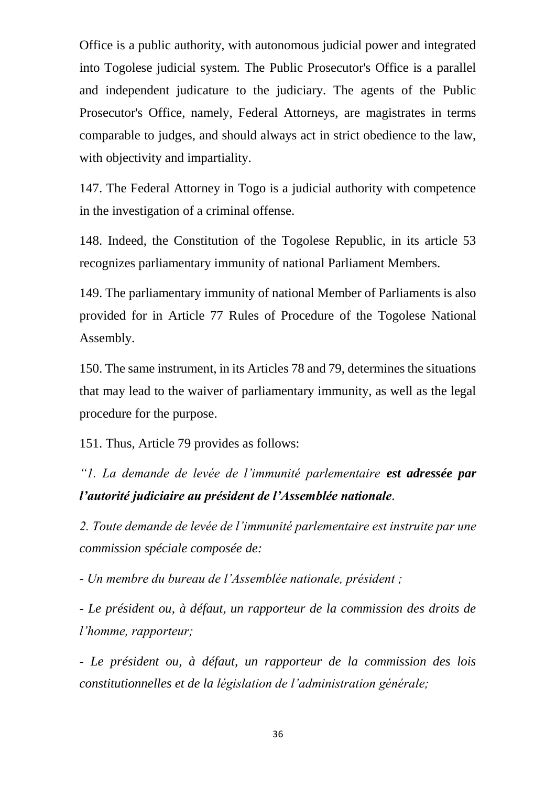Office is a public authority, with autonomous judicial power and integrated into Togolese judicial system. The Public Prosecutor's Office is a parallel and independent judicature to the judiciary. The agents of the Public Prosecutor's Office, namely, Federal Attorneys, are magistrates in terms comparable to judges, and should always act in strict obedience to the law, with objectivity and impartiality.

147. The Federal Attorney in Togo is a judicial authority with competence in the investigation of a criminal offense.

148. Indeed, the Constitution of the Togolese Republic, in its article 53 recognizes parliamentary immunity of national Parliament Members.

149. The parliamentary immunity of national Member of Parliaments is also provided for in Article 77 Rules of Procedure of the Togolese National Assembly.

150. The same instrument, in its Articles 78 and 79, determines the situations that may lead to the waiver of parliamentary immunity, as well as the legal procedure for the purpose.

151. Thus, Article 79 provides as follows:

*"1. La demande de levée de l'immunité parlementaire est adressée par l'autorité judiciaire au président de l'Assemblée nationale.*

*2. Toute demande de levée de l'immunité parlementaire est instruite par une commission spéciale composée de:*

*- Un membre du bureau de l'Assemblée nationale, président ;*

*- Le président ou, à défaut, un rapporteur de la commission des droits de l'homme, rapporteur;*

*- Le président ou, à défaut, un rapporteur de la commission des lois constitutionnelles et de la législation de l'administration générale;*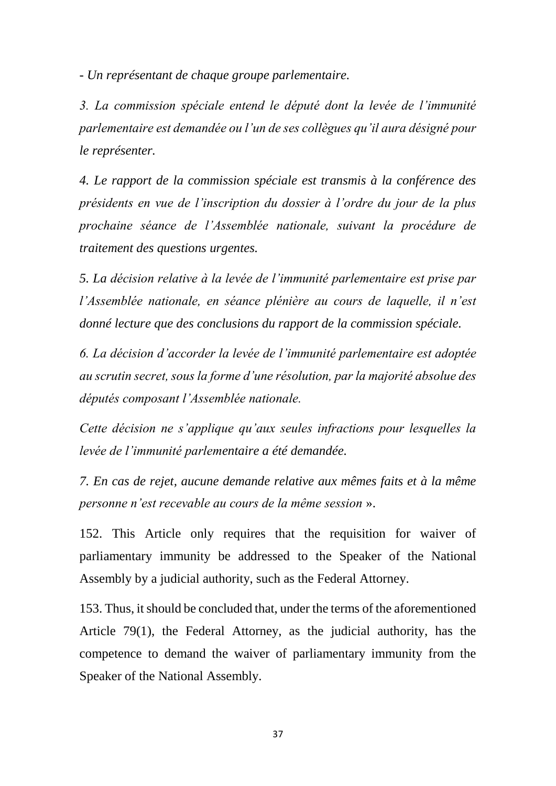*- Un représentant de chaque groupe parlementaire.*

*3. La commission spéciale entend le député dont la levée de l'immunité parlementaire est demandée ou l'un de ses collègues qu'il aura désigné pour le représenter.*

*4. Le rapport de la commission spéciale est transmis à la conférence des présidents en vue de l'inscription du dossier à l'ordre du jour de la plus prochaine séance de l'Assemblée nationale, suivant la procédure de traitement des questions urgentes.*

*5. La décision relative à la levée de l'immunité parlementaire est prise par l'Assemblée nationale, en séance plénière au cours de laquelle, il n'est donné lecture que des conclusions du rapport de la commission spéciale.*

*6. La décision d'accorder la levée de l'immunité parlementaire est adoptée au scrutin secret, sous la forme d'une résolution, par la majorité absolue des députés composant l'Assemblée nationale.*

*Cette décision ne s'applique qu'aux seules infractions pour lesquelles la levée de l'immunité parlementaire a été demandée.*

*7. En cas de rejet, aucune demande relative aux mêmes faits et à la même personne n'est recevable au cours de la même session* ».

152. This Article only requires that the requisition for waiver of parliamentary immunity be addressed to the Speaker of the National Assembly by a judicial authority, such as the Federal Attorney.

153. Thus, it should be concluded that, under the terms of the aforementioned Article 79(1), the Federal Attorney, as the judicial authority, has the competence to demand the waiver of parliamentary immunity from the Speaker of the National Assembly.

37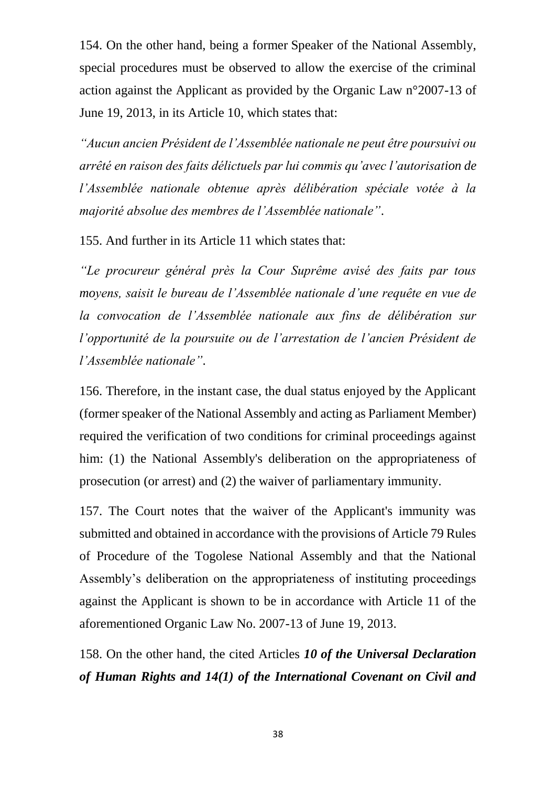154. On the other hand, being a former Speaker of the National Assembly, special procedures must be observed to allow the exercise of the criminal action against the Applicant as provided by the Organic Law n°2007-13 of June 19, 2013, in its Article 10, which states that:

*"Aucun ancien Président de l'Assemblée nationale ne peut être poursuivi ou arrêté en raison des faits délictuels par lui commis qu'avec l'autorisation de l'Assemblée nationale obtenue après délibération spéciale votée à la majorité absolue des membres de l'Assemblée nationale"*.

155. And further in its Article 11 which states that:

*"Le procureur général près la Cour Suprême avisé des faits par tous moyens, saisit le bureau de l'Assemblée nationale d'une requête en vue de la convocation de l'Assemblée nationale aux fins de délibération sur l'opportunité de la poursuite ou de l'arrestation de l'ancien Président de l'Assemblée nationale"*.

156. Therefore, in the instant case, the dual status enjoyed by the Applicant (former speaker of the National Assembly and acting as Parliament Member) required the verification of two conditions for criminal proceedings against him: (1) the National Assembly's deliberation on the appropriateness of prosecution (or arrest) and (2) the waiver of parliamentary immunity.

157. The Court notes that the waiver of the Applicant's immunity was submitted and obtained in accordance with the provisions of Article 79 Rules of Procedure of the Togolese National Assembly and that the National Assembly's deliberation on the appropriateness of instituting proceedings against the Applicant is shown to be in accordance with Article 11 of the aforementioned Organic Law No. 2007-13 of June 19, 2013.

158. On the other hand, the cited Articles *10 of the Universal Declaration of Human Rights and 14(1) of the International Covenant on Civil and*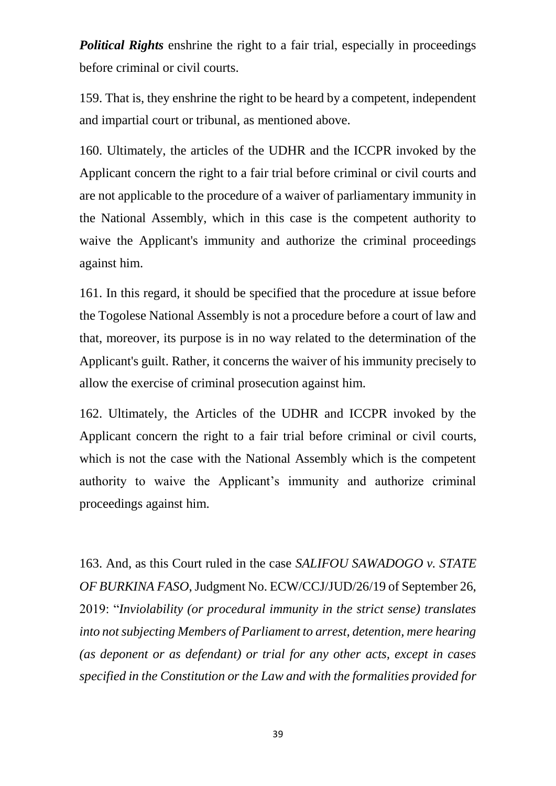*Political Rights* enshrine the right to a fair trial, especially in proceedings before criminal or civil courts.

159. That is, they enshrine the right to be heard by a competent, independent and impartial court or tribunal, as mentioned above.

160. Ultimately, the articles of the UDHR and the ICCPR invoked by the Applicant concern the right to a fair trial before criminal or civil courts and are not applicable to the procedure of a waiver of parliamentary immunity in the National Assembly, which in this case is the competent authority to waive the Applicant's immunity and authorize the criminal proceedings against him.

161. In this regard, it should be specified that the procedure at issue before the Togolese National Assembly is not a procedure before a court of law and that, moreover, its purpose is in no way related to the determination of the Applicant's guilt. Rather, it concerns the waiver of his immunity precisely to allow the exercise of criminal prosecution against him.

162. Ultimately, the Articles of the UDHR and ICCPR invoked by the Applicant concern the right to a fair trial before criminal or civil courts, which is not the case with the National Assembly which is the competent authority to waive the Applicant's immunity and authorize criminal proceedings against him.

163. And, as this Court ruled in the case *SALIFOU SAWADOGO v. STATE OF BURKINA FASO*, Judgment No. ECW/CCJ/JUD/26/19 of September 26, 2019: "*Inviolability (or procedural immunity in the strict sense) translates into not subjecting Members of Parliament to arrest, detention, mere hearing (as deponent or as defendant) or trial for any other acts, except in cases specified in the Constitution or the Law and with the formalities provided for*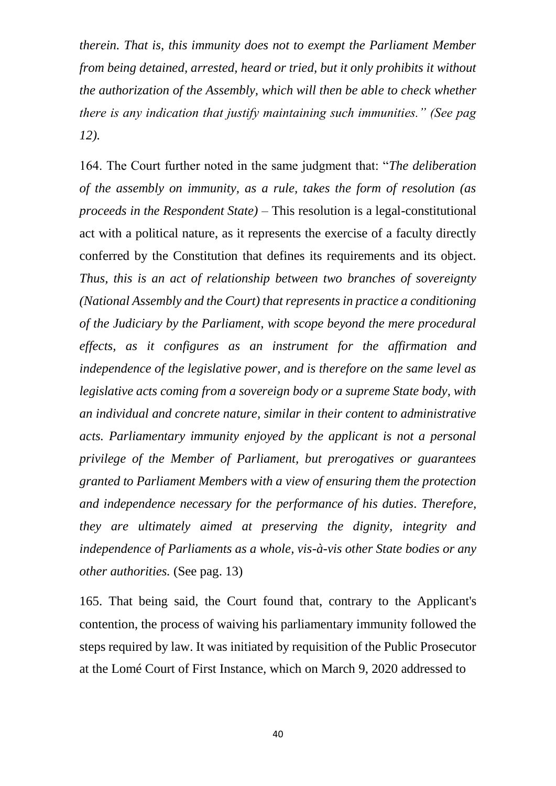*therein. That is, this immunity does not to exempt the Parliament Member from being detained, arrested, heard or tried, but it only prohibits it without the authorization of the Assembly, which will then be able to check whether there is any indication that justify maintaining such immunities." (See pag 12).*

164. The Court further noted in the same judgment that: "*The deliberation of the assembly on immunity, as a rule, takes the form of resolution (as proceeds in the Respondent State) –* This resolution is a legal-constitutional act with a political nature, as it represents the exercise of a faculty directly conferred by the Constitution that defines its requirements and its object. *Thus, this is an act of relationship between two branches of sovereignty (National Assembly and the Court) that represents in practice a conditioning of the Judiciary by the Parliament, with scope beyond the mere procedural effects, as it configures as an instrument for the affirmation and independence of the legislative power, and is therefore on the same level as legislative acts coming from a sovereign body or a supreme State body, with an individual and concrete nature, similar in their content to administrative acts. Parliamentary immunity enjoyed by the applicant is not a personal privilege of the Member of Parliament, but prerogatives or guarantees granted to Parliament Members with a view of ensuring them the protection and independence necessary for the performance of his duties. Therefore, they are ultimately aimed at preserving the dignity, integrity and independence of Parliaments as a whole, vis-à-vis other State bodies or any other authorities.* (See pag. 13)

165. That being said, the Court found that, contrary to the Applicant's contention, the process of waiving his parliamentary immunity followed the steps required by law. It was initiated by requisition of the Public Prosecutor at the Lomé Court of First Instance, which on March 9, 2020 addressed to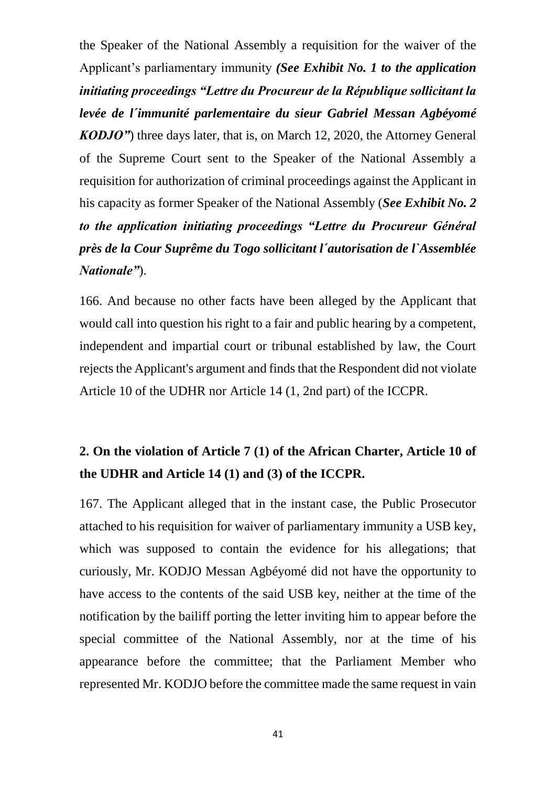the Speaker of the National Assembly a requisition for the waiver of the Applicant's parliamentary immunity *(See Exhibit No. 1 to the application initiating proceedings "Lettre du Procureur de la République sollicitant la levée de l´immunité parlementaire du sieur Gabriel Messan Agbéyomé KODJO"*) three days later, that is, on March 12, 2020, the Attorney General of the Supreme Court sent to the Speaker of the National Assembly a requisition for authorization of criminal proceedings against the Applicant in his capacity as former Speaker of the National Assembly (*See Exhibit No. 2 to the application initiating proceedings "Lettre du Procureur Général près de la Cour Suprême du Togo sollicitant l´autorisation de l`Assemblée Nationale"*).

166. And because no other facts have been alleged by the Applicant that would call into question his right to a fair and public hearing by a competent, independent and impartial court or tribunal established by law, the Court rejects the Applicant's argument and finds that the Respondent did not violate Article 10 of the UDHR nor Article 14 (1, 2nd part) of the ICCPR.

# **2. On the violation of Article 7 (1) of the African Charter, Article 10 of the UDHR and Article 14 (1) and (3) of the ICCPR.**

167. The Applicant alleged that in the instant case, the Public Prosecutor attached to his requisition for waiver of parliamentary immunity a USB key, which was supposed to contain the evidence for his allegations; that curiously, Mr. KODJO Messan Agbéyomé did not have the opportunity to have access to the contents of the said USB key, neither at the time of the notification by the bailiff porting the letter inviting him to appear before the special committee of the National Assembly, nor at the time of his appearance before the committee; that the Parliament Member who represented Mr. KODJO before the committee made the same request in vain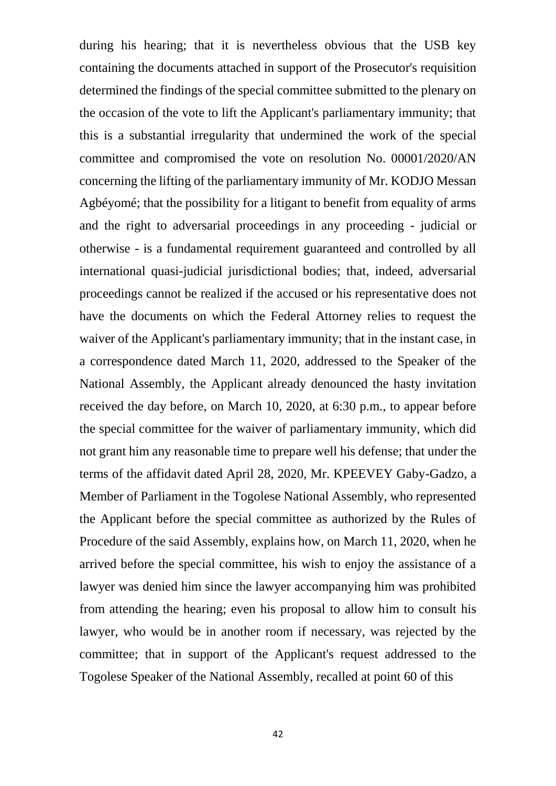during his hearing; that it is nevertheless obvious that the USB key containing the documents attached in support of the Prosecutor's requisition determined the findings of the special committee submitted to the plenary on the occasion of the vote to lift the Applicant's parliamentary immunity; that this is a substantial irregularity that undermined the work of the special committee and compromised the vote on resolution No. 00001/2020/AN concerning the lifting of the parliamentary immunity of Mr. KODJO Messan Agbéyomé; that the possibility for a litigant to benefit from equality of arms and the right to adversarial proceedings in any proceeding - judicial or otherwise - is a fundamental requirement guaranteed and controlled by all international quasi-judicial jurisdictional bodies; that, indeed, adversarial proceedings cannot be realized if the accused or his representative does not have the documents on which the Federal Attorney relies to request the waiver of the Applicant's parliamentary immunity; that in the instant case, in a correspondence dated March 11, 2020, addressed to the Speaker of the National Assembly, the Applicant already denounced the hasty invitation received the day before, on March 10, 2020, at 6:30 p.m., to appear before the special committee for the waiver of parliamentary immunity, which did not grant him any reasonable time to prepare well his defense; that under the terms of the affidavit dated April 28, 2020, Mr. KPEEVEY Gaby-Gadzo, a Member of Parliament in the Togolese National Assembly, who represented the Applicant before the special committee as authorized by the Rules of Procedure of the said Assembly, explains how, on March 11, 2020, when he arrived before the special committee, his wish to enjoy the assistance of a lawyer was denied him since the lawyer accompanying him was prohibited from attending the hearing; even his proposal to allow him to consult his lawyer, who would be in another room if necessary, was rejected by the committee; that in support of the Applicant's request addressed to the Togolese Speaker of the National Assembly, recalled at point 60 of this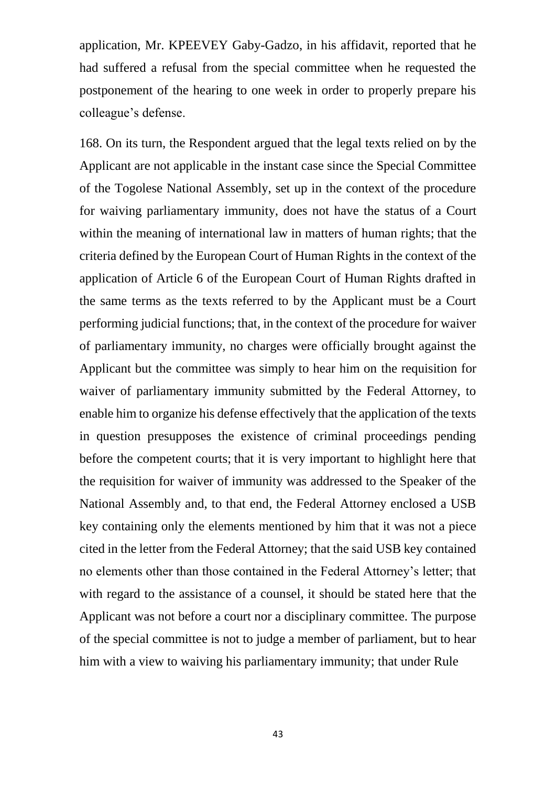application, Mr. KPEEVEY Gaby-Gadzo, in his affidavit, reported that he had suffered a refusal from the special committee when he requested the postponement of the hearing to one week in order to properly prepare his colleague's defense.

168. On its turn, the Respondent argued that the legal texts relied on by the Applicant are not applicable in the instant case since the Special Committee of the Togolese National Assembly, set up in the context of the procedure for waiving parliamentary immunity, does not have the status of a Court within the meaning of international law in matters of human rights; that the criteria defined by the European Court of Human Rights in the context of the application of Article 6 of the European Court of Human Rights drafted in the same terms as the texts referred to by the Applicant must be a Court performing judicial functions; that, in the context of the procedure for waiver of parliamentary immunity, no charges were officially brought against the Applicant but the committee was simply to hear him on the requisition for waiver of parliamentary immunity submitted by the Federal Attorney, to enable him to organize his defense effectively that the application of the texts in question presupposes the existence of criminal proceedings pending before the competent courts; that it is very important to highlight here that the requisition for waiver of immunity was addressed to the Speaker of the National Assembly and, to that end, the Federal Attorney enclosed a USB key containing only the elements mentioned by him that it was not a piece cited in the letter from the Federal Attorney; that the said USB key contained no elements other than those contained in the Federal Attorney's letter; that with regard to the assistance of a counsel, it should be stated here that the Applicant was not before a court nor a disciplinary committee. The purpose of the special committee is not to judge a member of parliament, but to hear him with a view to waiving his parliamentary immunity; that under Rule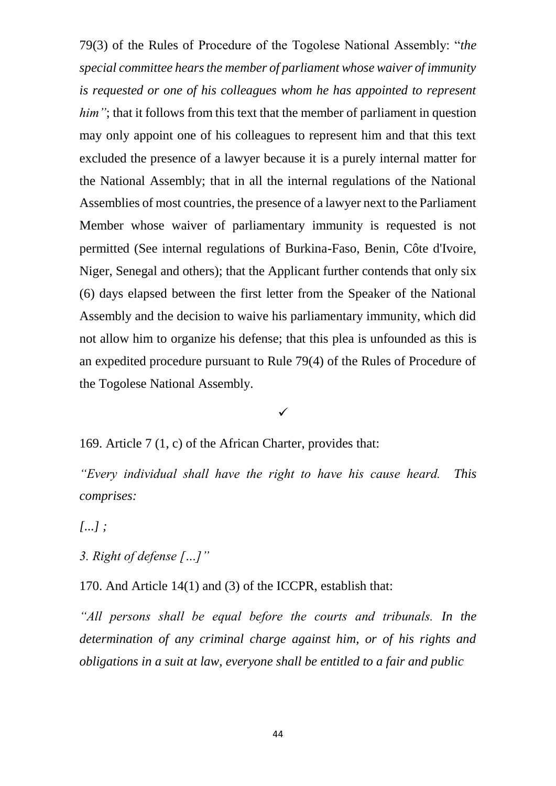79(3) of the Rules of Procedure of the Togolese National Assembly: "*the special committee hears the member of parliament whose waiver of immunity is requested or one of his colleagues whom he has appointed to represent him*"; that it follows from this text that the member of parliament in question may only appoint one of his colleagues to represent him and that this text excluded the presence of a lawyer because it is a purely internal matter for the National Assembly; that in all the internal regulations of the National Assemblies of most countries, the presence of a lawyer next to the Parliament Member whose waiver of parliamentary immunity is requested is not permitted (See internal regulations of Burkina-Faso, Benin, Côte d'Ivoire, Niger, Senegal and others); that the Applicant further contends that only six (6) days elapsed between the first letter from the Speaker of the National Assembly and the decision to waive his parliamentary immunity, which did not allow him to organize his defense; that this plea is unfounded as this is an expedited procedure pursuant to Rule 79(4) of the Rules of Procedure of the Togolese National Assembly.

#### $\checkmark$

169. Article 7 (1, c) of the African Charter, provides that:

*"Every individual shall have the right to have his cause heard. This comprises:*

*[...] ;* 

*3. Right of defense […]"*

170. And Article 14(1) and (3) of the ICCPR, establish that:

*"All persons shall be equal before the courts and tribunals. In the determination of any criminal charge against him, or of his rights and obligations in a suit at law, everyone shall be entitled to a fair and public*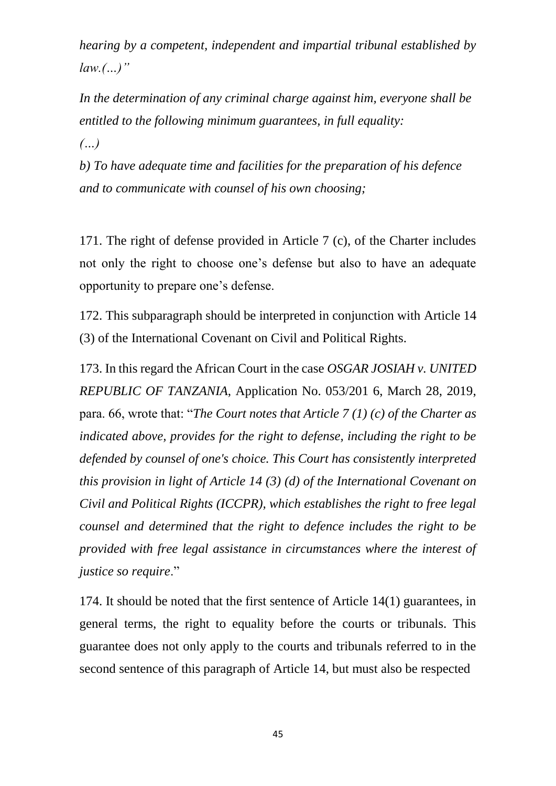*hearing by a competent, independent and impartial tribunal established by law.(…)"*

*In the determination of any criminal charge against him, everyone shall be entitled to the following minimum guarantees, in full equality:*

*(…)*

*b) To have adequate time and facilities for the preparation of his defence and to communicate with counsel of his own choosing;*

171. The right of defense provided in Article 7 (c), of the Charter includes not only the right to choose one's defense but also to have an adequate opportunity to prepare one's defense.

172. This subparagraph should be interpreted in conjunction with Article 14 (3) of the International Covenant on Civil and Political Rights.

173. In this regard the African Court in the case *OSGAR JOSIAH v. UNITED REPUBLIC OF TANZANIA*, Application No. 053/201 6, March 28, 2019, para. 66, wrote that: "*The Court notes that Article 7 (1) (c) of the Charter as indicated above, provides for the right to defense, including the right to be defended by counsel of one's choice. This Court has consistently interpreted this provision in light of Article 14 (3) (d) of the International Covenant on Civil and Political Rights (ICCPR), which establishes the right to free legal counsel and determined that the right to defence includes the right to be provided with free legal assistance in circumstances where the interest of justice so require*."

174. It should be noted that the first sentence of Article 14(1) guarantees, in general terms, the right to equality before the courts or tribunals. This guarantee does not only apply to the courts and tribunals referred to in the second sentence of this paragraph of Article 14, but must also be respected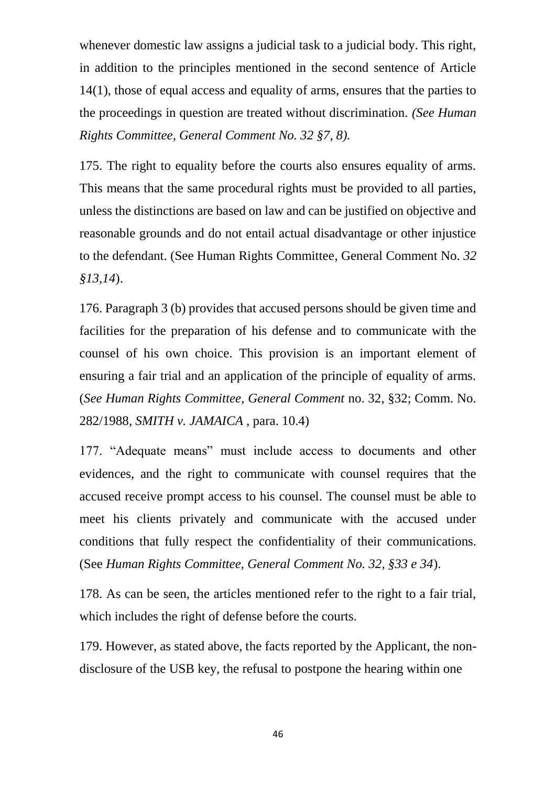whenever domestic law assigns a judicial task to a judicial body. This right, in addition to the principles mentioned in the second sentence of Article 14(1), those of equal access and equality of arms, ensures that the parties to the proceedings in question are treated without discrimination. *(See Human Rights Committee, General Comment No. 32 §7, 8).*

175. The right to equality before the courts also ensures equality of arms. This means that the same procedural rights must be provided to all parties, unless the distinctions are based on law and can be justified on objective and reasonable grounds and do not entail actual disadvantage or other injustice to the defendant. (See Human Rights Committee, General Comment No. *32 §13,14*).

176. Paragraph 3 (b) provides that accused persons should be given time and facilities for the preparation of his defense and to communicate with the counsel of his own choice. This provision is an important element of ensuring a fair trial and an application of the principle of equality of arms. (*See Human Rights Committee, General Comment* no. 32, §32; Comm. No. 282/1988, *SMITH v. JAMAICA* , para. 10.4)

177. "Adequate means" must include access to documents and other evidences, and the right to communicate with counsel requires that the accused receive prompt access to his counsel. The counsel must be able to meet his clients privately and communicate with the accused under conditions that fully respect the confidentiality of their communications. (See *Human Rights Committee, General Comment No. 32, §33 e 34*).

178. As can be seen, the articles mentioned refer to the right to a fair trial, which includes the right of defense before the courts.

179. However, as stated above, the facts reported by the Applicant, the nondisclosure of the USB key, the refusal to postpone the hearing within one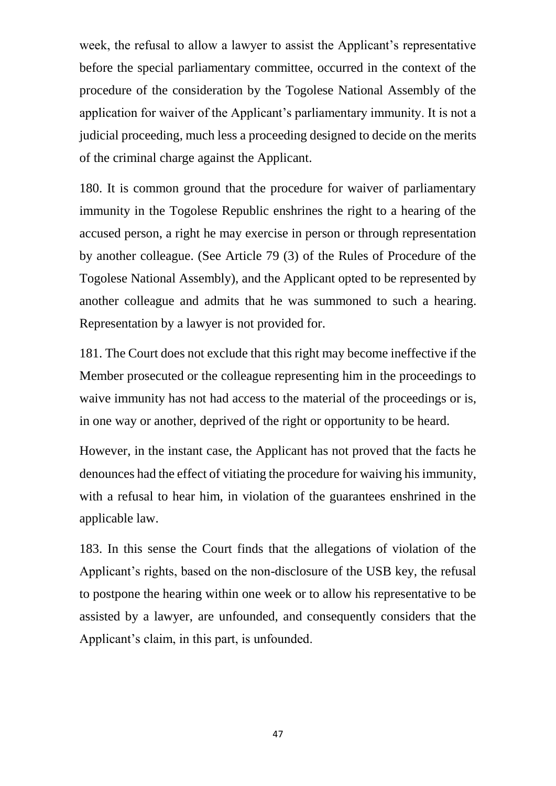week, the refusal to allow a lawyer to assist the Applicant's representative before the special parliamentary committee, occurred in the context of the procedure of the consideration by the Togolese National Assembly of the application for waiver of the Applicant's parliamentary immunity. It is not a judicial proceeding, much less a proceeding designed to decide on the merits of the criminal charge against the Applicant.

180. It is common ground that the procedure for waiver of parliamentary immunity in the Togolese Republic enshrines the right to a hearing of the accused person, a right he may exercise in person or through representation by another colleague. (See Article 79 (3) of the Rules of Procedure of the Togolese National Assembly), and the Applicant opted to be represented by another colleague and admits that he was summoned to such a hearing. Representation by a lawyer is not provided for.

181. The Court does not exclude that this right may become ineffective if the Member prosecuted or the colleague representing him in the proceedings to waive immunity has not had access to the material of the proceedings or is, in one way or another, deprived of the right or opportunity to be heard.

However, in the instant case, the Applicant has not proved that the facts he denounces had the effect of vitiating the procedure for waiving his immunity, with a refusal to hear him, in violation of the guarantees enshrined in the applicable law.

183. In this sense the Court finds that the allegations of violation of the Applicant's rights, based on the non-disclosure of the USB key, the refusal to postpone the hearing within one week or to allow his representative to be assisted by a lawyer, are unfounded, and consequently considers that the Applicant's claim, in this part, is unfounded.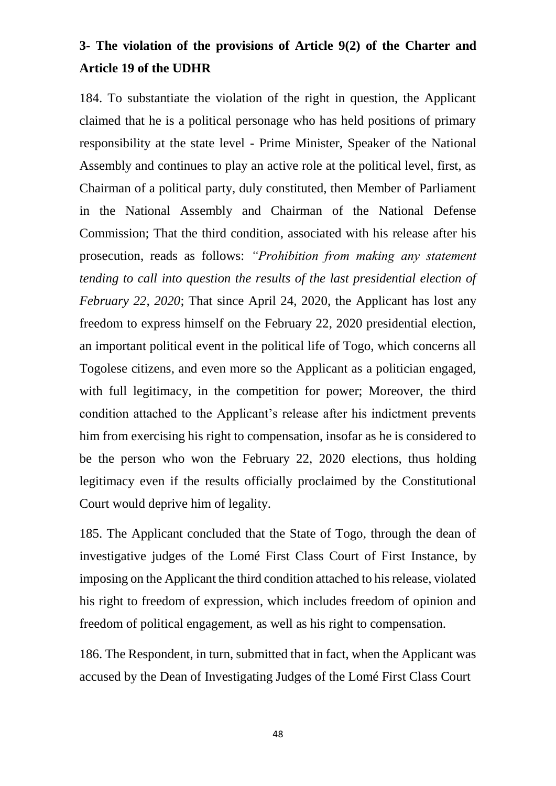# **3- The violation of the provisions of Article 9(2) of the Charter and Article 19 of the UDHR**

184. To substantiate the violation of the right in question, the Applicant claimed that he is a political personage who has held positions of primary responsibility at the state level - Prime Minister, Speaker of the National Assembly and continues to play an active role at the political level, first, as Chairman of a political party, duly constituted, then Member of Parliament in the National Assembly and Chairman of the National Defense Commission; That the third condition, associated with his release after his prosecution, reads as follows: *"Prohibition from making any statement tending to call into question the results of the last presidential election of February 22, 2020*; That since April 24, 2020, the Applicant has lost any freedom to express himself on the February 22, 2020 presidential election, an important political event in the political life of Togo, which concerns all Togolese citizens, and even more so the Applicant as a politician engaged, with full legitimacy, in the competition for power; Moreover, the third condition attached to the Applicant's release after his indictment prevents him from exercising his right to compensation, insofar as he is considered to be the person who won the February 22, 2020 elections, thus holding legitimacy even if the results officially proclaimed by the Constitutional Court would deprive him of legality.

185. The Applicant concluded that the State of Togo, through the dean of investigative judges of the Lomé First Class Court of First Instance, by imposing on the Applicant the third condition attached to his release, violated his right to freedom of expression, which includes freedom of opinion and freedom of political engagement, as well as his right to compensation.

186. The Respondent, in turn, submitted that in fact, when the Applicant was accused by the Dean of Investigating Judges of the Lomé First Class Court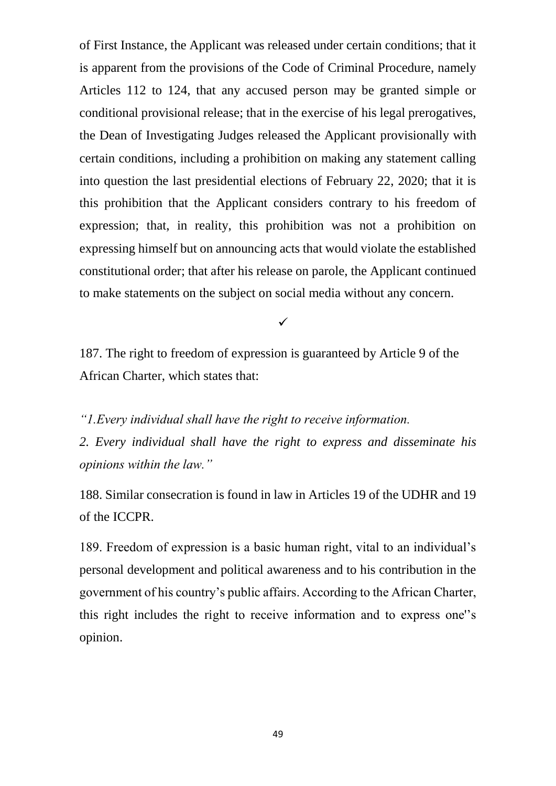of First Instance, the Applicant was released under certain conditions; that it is apparent from the provisions of the Code of Criminal Procedure, namely Articles 112 to 124, that any accused person may be granted simple or conditional provisional release; that in the exercise of his legal prerogatives, the Dean of Investigating Judges released the Applicant provisionally with certain conditions, including a prohibition on making any statement calling into question the last presidential elections of February 22, 2020; that it is this prohibition that the Applicant considers contrary to his freedom of expression; that, in reality, this prohibition was not a prohibition on expressing himself but on announcing acts that would violate the established constitutional order; that after his release on parole, the Applicant continued to make statements on the subject on social media without any concern.

 $\checkmark$ 

187. The right to freedom of expression is guaranteed by Article 9 of the African Charter, which states that:

*"1.Every individual shall have the right to receive information.*

*2. Every individual shall have the right to express and disseminate his opinions within the law."*

188. Similar consecration is found in law in Articles 19 of the UDHR and 19 of the ICCPR.

189. Freedom of expression is a basic human right, vital to an individual's personal development and political awareness and to his contribution in the government of his country's public affairs. According to the African Charter, this right includes the right to receive information and to express one''s opinion.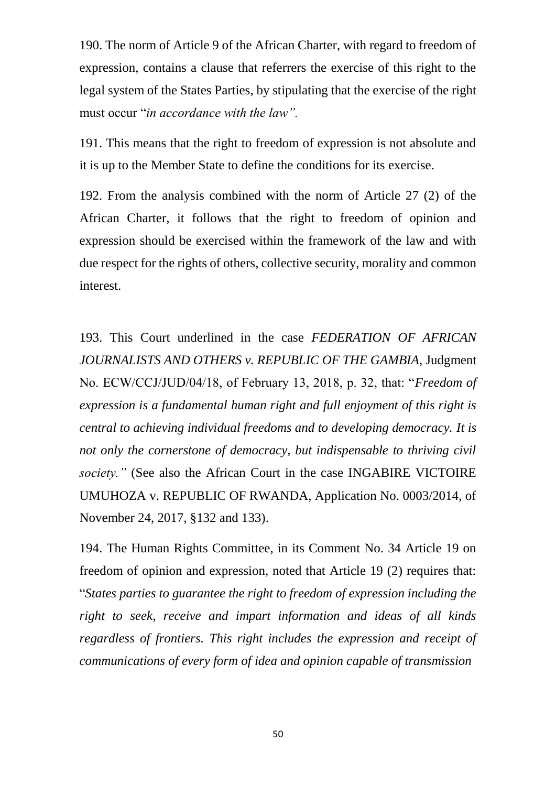190. The norm of Article 9 of the African Charter, with regard to freedom of expression, contains a clause that referrers the exercise of this right to the legal system of the States Parties, by stipulating that the exercise of the right must occur "*in accordance with the law".* 

191. This means that the right to freedom of expression is not absolute and it is up to the Member State to define the conditions for its exercise.

192. From the analysis combined with the norm of Article 27 (2) of the African Charter, it follows that the right to freedom of opinion and expression should be exercised within the framework of the law and with due respect for the rights of others, collective security, morality and common interest.

193. This Court underlined in the case *FEDERATION OF AFRICAN JOURNALISTS AND OTHERS v. REPUBLIC OF THE GAMBIA*, Judgment No. ECW/CCJ/JUD/04/18, of February 13, 2018, p. 32, that: "*Freedom of expression is a fundamental human right and full enjoyment of this right is central to achieving individual freedoms and to developing democracy. It is not only the cornerstone of democracy, but indispensable to thriving civil society."* (See also the African Court in the case INGABIRE VICTOIRE UMUHOZA v. REPUBLIC OF RWANDA, Application No. 0003/2014, of November 24, 2017, §132 and 133).

194. The Human Rights Committee, in its Comment No. 34 Article 19 on freedom of opinion and expression, noted that Article 19 (2) requires that: "*States parties to guarantee the right to freedom of expression including the right to seek, receive and impart information and ideas of all kinds regardless of frontiers. This right includes the expression and receipt of communications of every form of idea and opinion capable of transmission*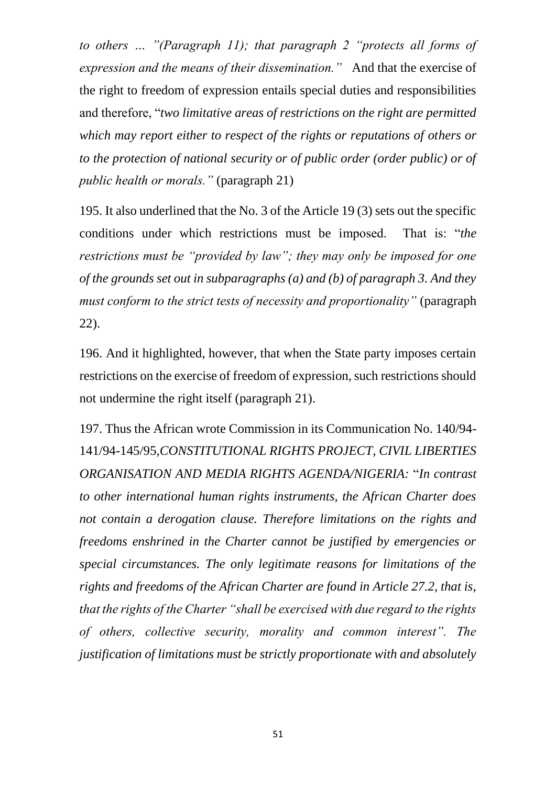*to others … "(Paragraph 11); that paragraph 2 "protects all forms of expression and the means of their dissemination."* And that the exercise of the right to freedom of expression entails special duties and responsibilities and therefore, "*two limitative areas of restrictions on the right are permitted which may report either to respect of the rights or reputations of others or to the protection of national security or of public order (order public) or of public health or morals."* (paragraph 21)

195. It also underlined that the No. 3 of the Article 19 (3) sets out the specific conditions under which restrictions must be imposed. That is: "*the restrictions must be "provided by law"; they may only be imposed for one of the grounds set out in subparagraphs (a) and (b) of paragraph 3. And they must conform to the strict tests of necessity and proportionality"* (paragraph 22).

196. And it highlighted, however, that when the State party imposes certain restrictions on the exercise of freedom of expression, such restrictions should not undermine the right itself (paragraph 21).

197. Thus the African wrote Commission in its Communication No. 140/94- 141/94-145/95,*CONSTITUTIONAL RIGHTS PROJECT, CIVIL LIBERTIES ORGANISATION AND MEDIA RIGHTS AGENDA/NIGERIA:* "*In contrast to other international human rights instruments, the African Charter does not contain a derogation clause. Therefore limitations on the rights and freedoms enshrined in the Charter cannot be justified by emergencies or special circumstances. The only legitimate reasons for limitations of the rights and freedoms of the African Charter are found in Article 27.2, that is, that the rights of the Charter "shall be exercised with due regard to the rights of others, collective security, morality and common interest". The justification of limitations must be strictly proportionate with and absolutely*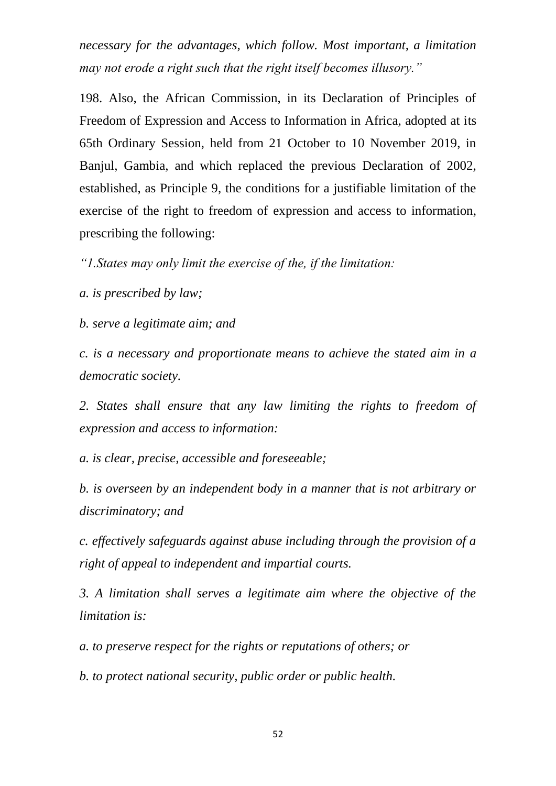*necessary for the advantages, which follow. Most important, a limitation may not erode a right such that the right itself becomes illusory."*

198. Also, the African Commission, in its Declaration of Principles of Freedom of Expression and Access to Information in Africa, adopted at its 65th Ordinary Session, held from 21 October to 10 November 2019, in Banjul, Gambia, and which replaced the previous Declaration of 2002, established, as Principle 9, the conditions for a justifiable limitation of the exercise of the right to freedom of expression and access to information, prescribing the following:

*"1.States may only limit the exercise of the, if the limitation:*

*a. is prescribed by law;*

*b. serve a legitimate aim; and*

*c. is a necessary and proportionate means to achieve the stated aim in a democratic society.*

*2. States shall ensure that any law limiting the rights to freedom of expression and access to information:*

*a. is clear, precise, accessible and foreseeable;*

*b. is overseen by an independent body in a manner that is not arbitrary or discriminatory; and*

*c. effectively safeguards against abuse including through the provision of a right of appeal to independent and impartial courts.*

*3. A limitation shall serves a legitimate aim where the objective of the limitation is:*

*a. to preserve respect for the rights or reputations of others; or*

*b. to protect national security, public order or public health.*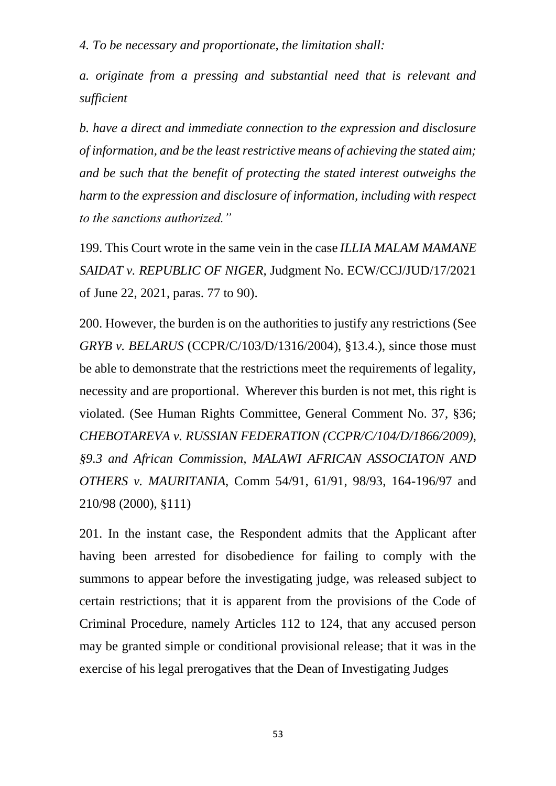*4. To be necessary and proportionate, the limitation shall:*

*a. originate from a pressing and substantial need that is relevant and sufficient*

*b. have a direct and immediate connection to the expression and disclosure of information, and be the least restrictive means of achieving the stated aim; and be such that the benefit of protecting the stated interest outweighs the harm to the expression and disclosure of information, including with respect to the sanctions authorized."*

199. This Court wrote in the same vein in the case *ILLIA MALAM MAMANE SAIDAT v. REPUBLIC OF NIGER*, Judgment No. ECW/CCJ/JUD/17/2021 of June 22, 2021, paras. 77 to 90).

200. However, the burden is on the authorities to justify any restrictions (See *GRYB v. BELARUS* (CCPR/C/103/D/1316/2004), §13.4.), since those must be able to demonstrate that the restrictions meet the requirements of legality, necessity and are proportional. Wherever this burden is not met, this right is violated. (See Human Rights Committee, General Comment No. 37, §36; *CHEBOTAREVA v. RUSSIAN FEDERATION (CCPR/C/104/D/1866/2009), §9.3 and African Commission, MALAWI AFRICAN ASSOCIATON AND OTHERS v. MAURITANIA*, Comm 54/91, 61/91, 98/93, 164-196/97 and 210/98 (2000), §111)

201. In the instant case, the Respondent admits that the Applicant after having been arrested for disobedience for failing to comply with the summons to appear before the investigating judge, was released subject to certain restrictions; that it is apparent from the provisions of the Code of Criminal Procedure, namely Articles 112 to 124, that any accused person may be granted simple or conditional provisional release; that it was in the exercise of his legal prerogatives that the Dean of Investigating Judges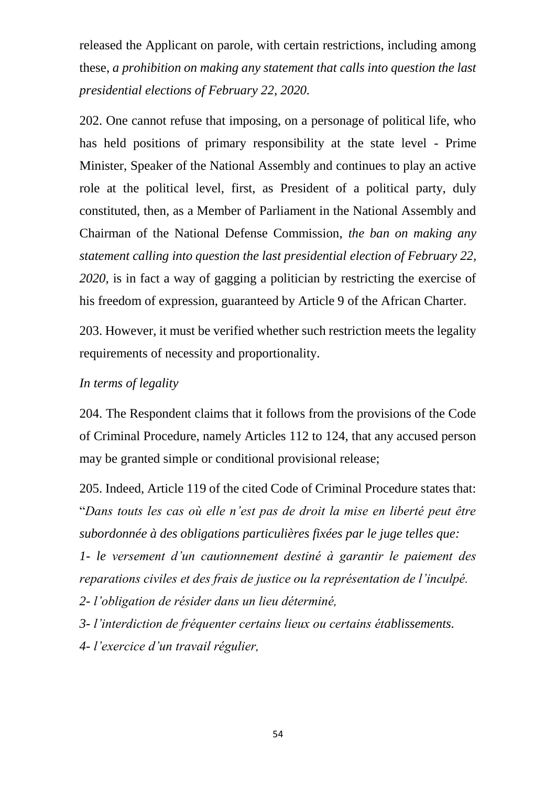released the Applicant on parole, with certain restrictions, including among these, *a prohibition on making any statement that calls into question the last presidential elections of February 22, 2020.*

202. One cannot refuse that imposing, on a personage of political life, who has held positions of primary responsibility at the state level - Prime Minister, Speaker of the National Assembly and continues to play an active role at the political level, first, as President of a political party, duly constituted, then, as a Member of Parliament in the National Assembly and Chairman of the National Defense Commission, *the ban on making any statement calling into question the last presidential election of February 22, 2020,* is in fact a way of gagging a politician by restricting the exercise of his freedom of expression, guaranteed by Article 9 of the African Charter.

203. However, it must be verified whether such restriction meets the legality requirements of necessity and proportionality.

#### *In terms of legality*

204. The Respondent claims that it follows from the provisions of the Code of Criminal Procedure, namely Articles 112 to 124, that any accused person may be granted simple or conditional provisional release;

205. Indeed, Article 119 of the cited Code of Criminal Procedure states that: "*Dans touts les cas où elle n'est pas de droit la mise en liberté peut être subordonnée à des obligations particulières fixées par le juge telles que:*

*1- le versement d'un cautionnement destiné à garantir le paiement des reparations civiles et des frais de justice ou la représentation de l'inculpé.*

*2- l'obligation de résider dans un lieu déterminé,*

*3- l'interdiction de fréquenter certains lieux ou certains établissements.*

*4- l'exercice d'un travail régulier,*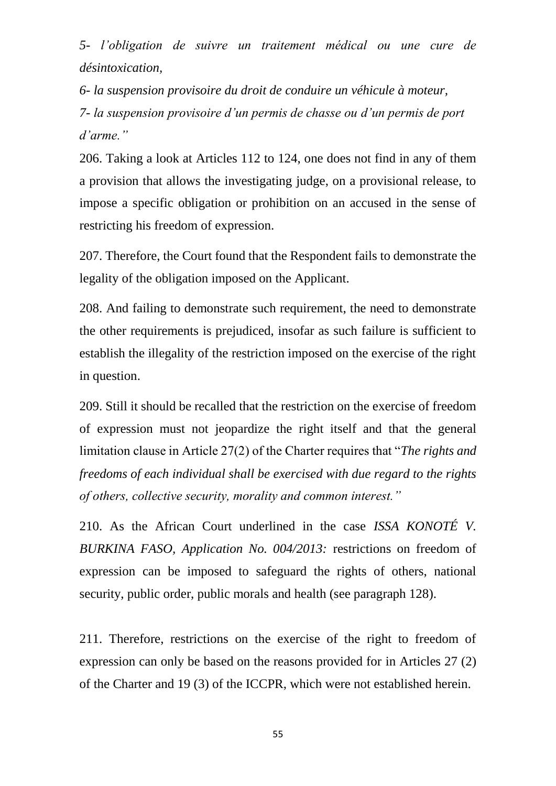*5- l'obligation de suivre un traitement médical ou une cure de désintoxication,*

*6- la suspension provisoire du droit de conduire un véhicule à moteur, 7- la suspension provisoire d'un permis de chasse ou d'un permis de port d'arme."*

206. Taking a look at Articles 112 to 124, one does not find in any of them a provision that allows the investigating judge, on a provisional release, to impose a specific obligation or prohibition on an accused in the sense of restricting his freedom of expression.

207. Therefore, the Court found that the Respondent fails to demonstrate the legality of the obligation imposed on the Applicant.

208. And failing to demonstrate such requirement, the need to demonstrate the other requirements is prejudiced, insofar as such failure is sufficient to establish the illegality of the restriction imposed on the exercise of the right in question.

209. Still it should be recalled that the restriction on the exercise of freedom of expression must not jeopardize the right itself and that the general limitation clause in Article 27(2) of the Charter requires that "*The rights and freedoms of each individual shall be exercised with due regard to the rights of others, collective security, morality and common interest."*

210. As the African Court underlined in the case *ISSA KONOTÉ V. BURKINA FASO, Application No. 004/2013:* restrictions on freedom of expression can be imposed to safeguard the rights of others, national security, public order, public morals and health (see paragraph 128).

211. Therefore, restrictions on the exercise of the right to freedom of expression can only be based on the reasons provided for in Articles 27 (2) of the Charter and 19 (3) of the ICCPR, which were not established herein.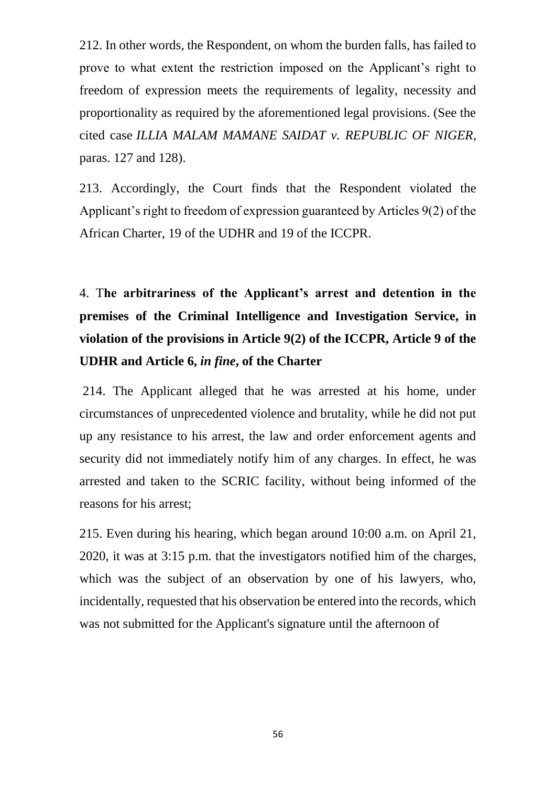212. In other words, the Respondent, on whom the burden falls, has failed to prove to what extent the restriction imposed on the Applicant's right to freedom of expression meets the requirements of legality, necessity and proportionality as required by the aforementioned legal provisions. (See the cited case *ILLIA MALAM MAMANE SAIDAT v. REPUBLIC OF NIGER*, paras. 127 and 128).

213. Accordingly, the Court finds that the Respondent violated the Applicant's right to freedom of expression guaranteed by Articles 9(2) of the African Charter, 19 of the UDHR and 19 of the ICCPR.

4. T**he arbitrariness of the Applicant's arrest and detention in the premises of the Criminal Intelligence and Investigation Service, in violation of the provisions in Article 9(2) of the ICCPR, Article 9 of the UDHR and Article 6,** *in fine***, of the Charter** 

214. The Applicant alleged that he was arrested at his home, under circumstances of unprecedented violence and brutality, while he did not put up any resistance to his arrest, the law and order enforcement agents and security did not immediately notify him of any charges. In effect, he was arrested and taken to the SCRIC facility, without being informed of the reasons for his arrest;

215. Even during his hearing, which began around 10:00 a.m. on April 21, 2020, it was at 3:15 p.m. that the investigators notified him of the charges, which was the subject of an observation by one of his lawyers, who, incidentally, requested that his observation be entered into the records, which was not submitted for the Applicant's signature until the afternoon of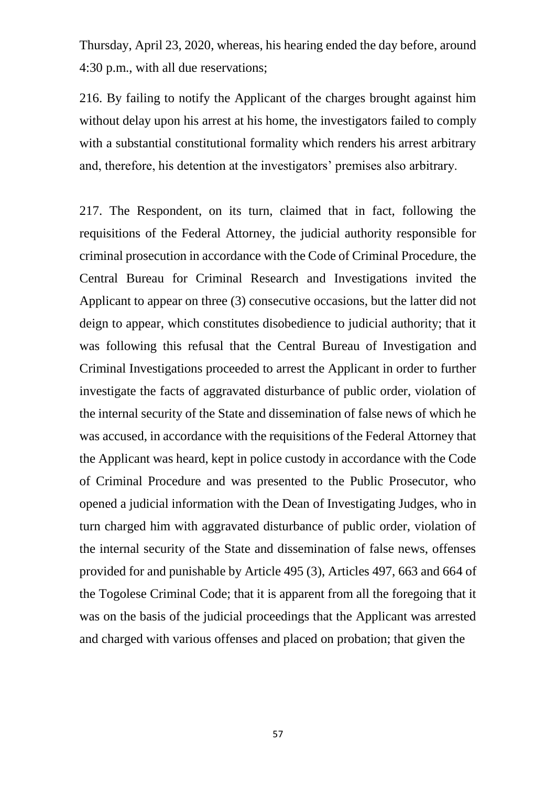Thursday, April 23, 2020, whereas, his hearing ended the day before, around 4:30 p.m., with all due reservations;

216. By failing to notify the Applicant of the charges brought against him without delay upon his arrest at his home, the investigators failed to comply with a substantial constitutional formality which renders his arrest arbitrary and, therefore, his detention at the investigators' premises also arbitrary.

217. The Respondent, on its turn, claimed that in fact, following the requisitions of the Federal Attorney, the judicial authority responsible for criminal prosecution in accordance with the Code of Criminal Procedure, the Central Bureau for Criminal Research and Investigations invited the Applicant to appear on three (3) consecutive occasions, but the latter did not deign to appear, which constitutes disobedience to judicial authority; that it was following this refusal that the Central Bureau of Investigation and Criminal Investigations proceeded to arrest the Applicant in order to further investigate the facts of aggravated disturbance of public order, violation of the internal security of the State and dissemination of false news of which he was accused, in accordance with the requisitions of the Federal Attorney that the Applicant was heard, kept in police custody in accordance with the Code of Criminal Procedure and was presented to the Public Prosecutor, who opened a judicial information with the Dean of Investigating Judges, who in turn charged him with aggravated disturbance of public order, violation of the internal security of the State and dissemination of false news, offenses provided for and punishable by Article 495 (3), Articles 497, 663 and 664 of the Togolese Criminal Code; that it is apparent from all the foregoing that it was on the basis of the judicial proceedings that the Applicant was arrested and charged with various offenses and placed on probation; that given the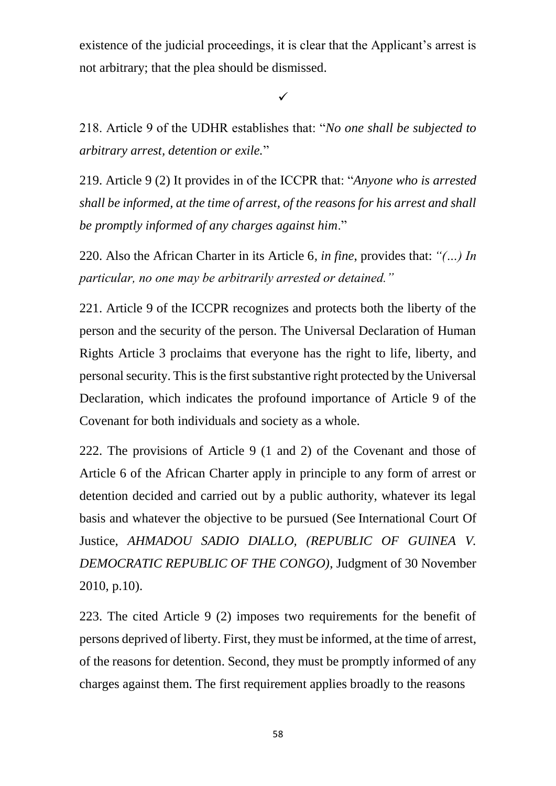existence of the judicial proceedings, it is clear that the Applicant's arrest is not arbitrary; that the plea should be dismissed.

 $\checkmark$ 

218. Article 9 of the UDHR establishes that: "*No one shall be subjected to arbitrary arrest, detention or exile.*"

219. Article 9 (2) It provides in of the ICCPR that: "*Anyone who is arrested shall be informed, at the time of arrest, of the reasons for his arrest and shall be promptly informed of any charges against him*."

220. Also the African Charter in its Article 6*, in fine*, provides that: *"(…) In particular, no one may be arbitrarily arrested or detained."*

221. Article 9 of the ICCPR recognizes and protects both the liberty of the person and the security of the person. The Universal Declaration of Human Rights Article 3 proclaims that everyone has the right to life, liberty, and personal security. This is the first substantive right protected by the Universal Declaration, which indicates the profound importance of Article 9 of the Covenant for both individuals and society as a whole.

222. The provisions of Article 9 (1 and 2) of the Covenant and those of Article 6 of the African Charter apply in principle to any form of arrest or detention decided and carried out by a public authority, whatever its legal basis and whatever the objective to be pursued (See International Court Of Justice, *AHMADOU SADIO DIALLO, (REPUBLIC OF GUINEA V. DEMOCRATIC REPUBLIC OF THE CONGO)*, Judgment of 30 November 2010, p.10).

223. The cited Article 9 (2) imposes two requirements for the benefit of persons deprived of liberty. First, they must be informed, at the time of arrest, of the reasons for detention. Second, they must be promptly informed of any charges against them. The first requirement applies broadly to the reasons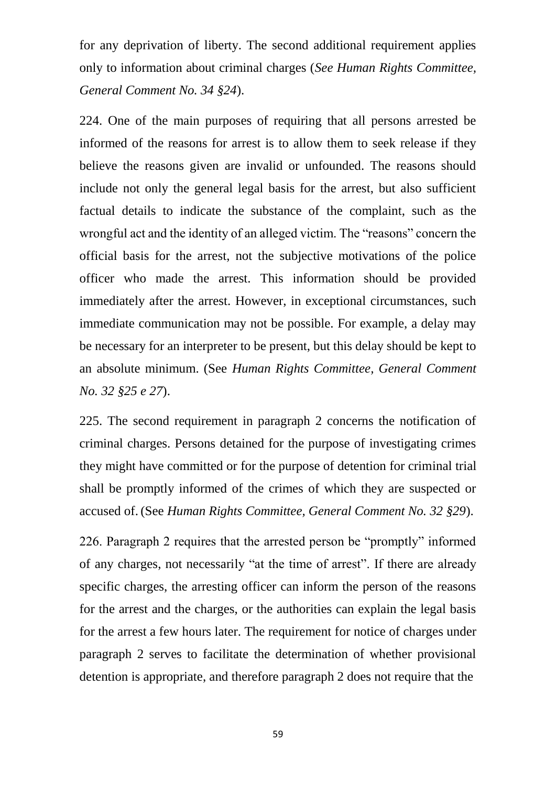for any deprivation of liberty. The second additional requirement applies only to information about criminal charges (*See Human Rights Committee, General Comment No. 34 §24*).

224. One of the main purposes of requiring that all persons arrested be informed of the reasons for arrest is to allow them to seek release if they believe the reasons given are invalid or unfounded. The reasons should include not only the general legal basis for the arrest, but also sufficient factual details to indicate the substance of the complaint, such as the wrongful act and the identity of an alleged victim. The "reasons" concern the official basis for the arrest, not the subjective motivations of the police officer who made the arrest. This information should be provided immediately after the arrest. However, in exceptional circumstances, such immediate communication may not be possible. For example, a delay may be necessary for an interpreter to be present, but this delay should be kept to an absolute minimum. (See *Human Rights Committee, General Comment No. 32 §25 e 27*).

225. The second requirement in paragraph 2 concerns the notification of criminal charges. Persons detained for the purpose of investigating crimes they might have committed or for the purpose of detention for criminal trial shall be promptly informed of the crimes of which they are suspected or accused of. (See *Human Rights Committee, General Comment No. 32 §29*).

226. Paragraph 2 requires that the arrested person be "promptly" informed of any charges, not necessarily "at the time of arrest". If there are already specific charges, the arresting officer can inform the person of the reasons for the arrest and the charges, or the authorities can explain the legal basis for the arrest a few hours later. The requirement for notice of charges under paragraph 2 serves to facilitate the determination of whether provisional detention is appropriate, and therefore paragraph 2 does not require that the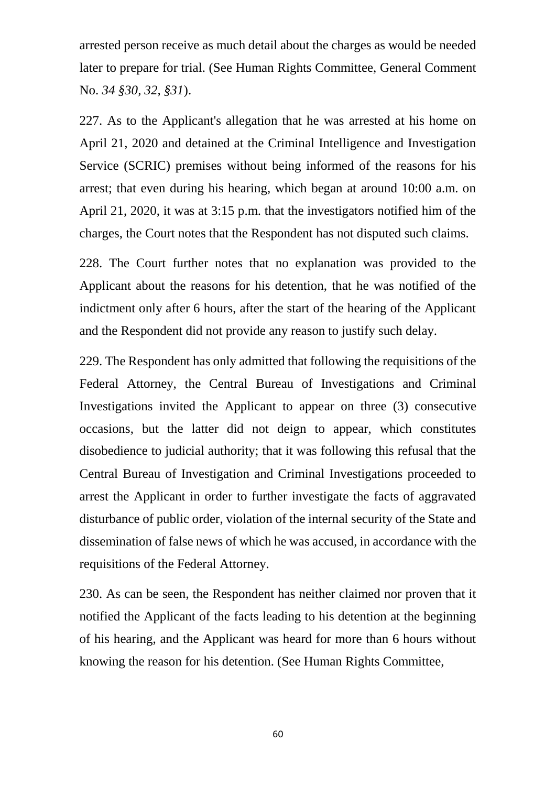arrested person receive as much detail about the charges as would be needed later to prepare for trial. (See Human Rights Committee, General Comment No. *34 §30, 32, §31*).

227. As to the Applicant's allegation that he was arrested at his home on April 21, 2020 and detained at the Criminal Intelligence and Investigation Service (SCRIC) premises without being informed of the reasons for his arrest; that even during his hearing, which began at around 10:00 a.m. on April 21, 2020, it was at 3:15 p.m. that the investigators notified him of the charges, the Court notes that the Respondent has not disputed such claims.

228. The Court further notes that no explanation was provided to the Applicant about the reasons for his detention, that he was notified of the indictment only after 6 hours, after the start of the hearing of the Applicant and the Respondent did not provide any reason to justify such delay.

229. The Respondent has only admitted that following the requisitions of the Federal Attorney, the Central Bureau of Investigations and Criminal Investigations invited the Applicant to appear on three (3) consecutive occasions, but the latter did not deign to appear, which constitutes disobedience to judicial authority; that it was following this refusal that the Central Bureau of Investigation and Criminal Investigations proceeded to arrest the Applicant in order to further investigate the facts of aggravated disturbance of public order, violation of the internal security of the State and dissemination of false news of which he was accused, in accordance with the requisitions of the Federal Attorney.

230. As can be seen, the Respondent has neither claimed nor proven that it notified the Applicant of the facts leading to his detention at the beginning of his hearing, and the Applicant was heard for more than 6 hours without knowing the reason for his detention. (See Human Rights Committee,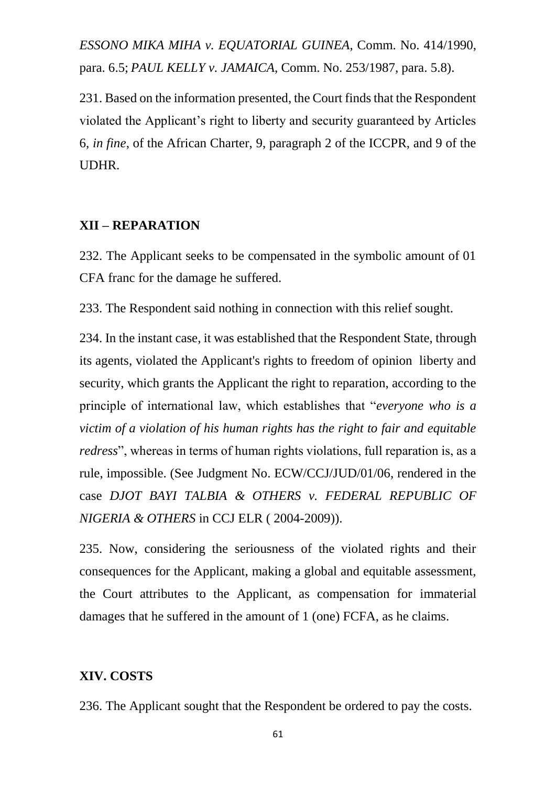*ESSONO MIKA MIHA v. EQUATORIAL GUINEA*, Comm. No. 414/1990, para. 6.5; *PAUL KELLY v. JAMAICA*, Comm. No. 253/1987, para. 5.8).

231. Based on the information presented, the Court finds that the Respondent violated the Applicant's right to liberty and security guaranteed by Articles 6, *in fine*, of the African Charter, 9, paragraph 2 of the ICCPR, and 9 of the UDHR.

#### **XII – REPARATION**

232. The Applicant seeks to be compensated in the symbolic amount of 01 CFA franc for the damage he suffered.

233. The Respondent said nothing in connection with this relief sought.

234. In the instant case, it was established that the Respondent State, through its agents, violated the Applicant's rights to freedom of opinion liberty and security, which grants the Applicant the right to reparation, according to the principle of international law, which establishes that "*everyone who is a victim of a violation of his human rights has the right to fair and equitable redress*", whereas in terms of human rights violations, full reparation is, as a rule, impossible. (See Judgment No. ECW/CCJ/JUD/01/06, rendered in the case *DJOT BAYI TALBIA & OTHERS v. FEDERAL REPUBLIC OF NIGERIA & OTHERS* in CCJ ELR ( 2004-2009)).

235. Now, considering the seriousness of the violated rights and their consequences for the Applicant, making a global and equitable assessment, the Court attributes to the Applicant, as compensation for immaterial damages that he suffered in the amount of 1 (one) FCFA, as he claims.

#### **XIV. COSTS**

236. The Applicant sought that the Respondent be ordered to pay the costs.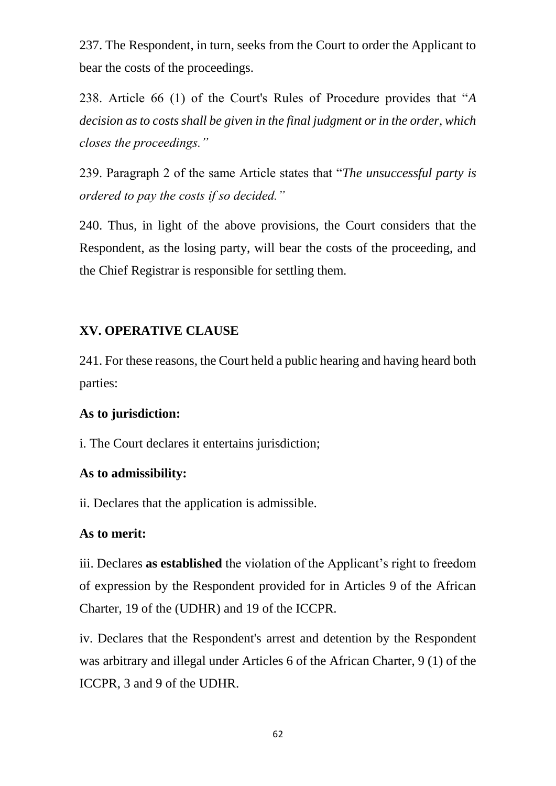237. The Respondent, in turn, seeks from the Court to order the Applicant to bear the costs of the proceedings.

238. Article 66 (1) of the Court's Rules of Procedure provides that "*A decision as to costs shall be given in the final judgment or in the order, which closes the proceedings."*

239. Paragraph 2 of the same Article states that "*The unsuccessful party is ordered to pay the costs if so decided."*

240. Thus, in light of the above provisions, the Court considers that the Respondent, as the losing party, will bear the costs of the proceeding, and the Chief Registrar is responsible for settling them.

#### **XV. OPERATIVE CLAUSE**

241. For these reasons, the Court held a public hearing and having heard both parties:

#### **As to jurisdiction:**

i. The Court declares it entertains jurisdiction;

#### **As to admissibility:**

ii. Declares that the application is admissible.

#### **As to merit:**

iii. Declares **as established** the violation of the Applicant's right to freedom of expression by the Respondent provided for in Articles 9 of the African Charter, 19 of the (UDHR) and 19 of the ICCPR.

iv. Declares that the Respondent's arrest and detention by the Respondent was arbitrary and illegal under Articles 6 of the African Charter, 9 (1) of the ICCPR, 3 and 9 of the UDHR.